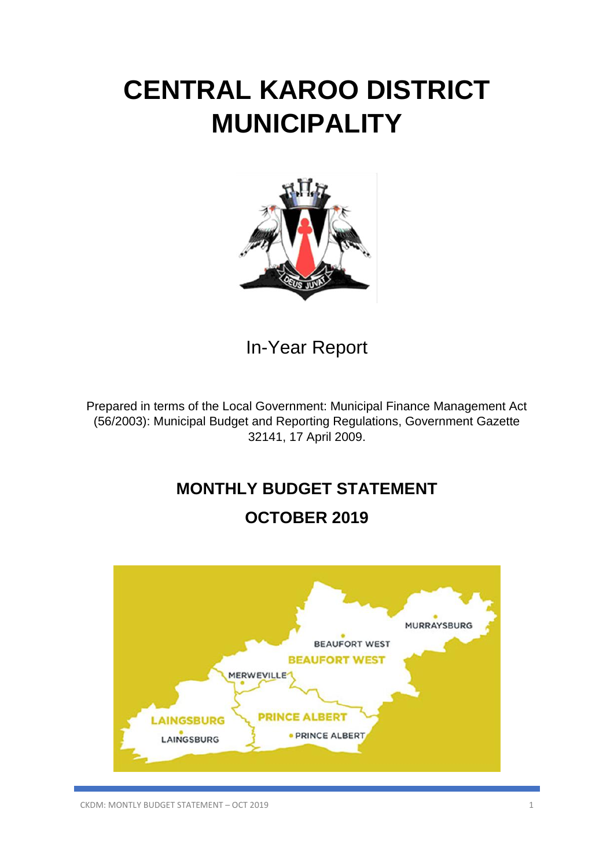# **CENTRAL KAROO DISTRICT MUNICIPALITY**



In-Year Report

Prepared in terms of the Local Government: Municipal Finance Management Act (56/2003): Municipal Budget and Reporting Regulations, Government Gazette 32141, 17 April 2009.

# **MONTHLY BUDGET STATEMENT**

# **OCTOBER 2019**

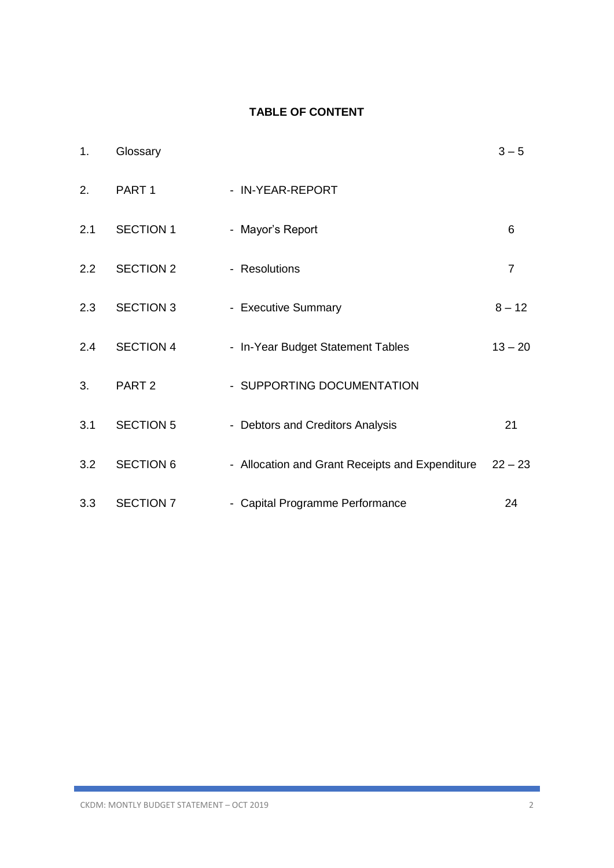### **TABLE OF CONTENT**

| 1.            | Glossary          |                                                 | $3 - 5$        |
|---------------|-------------------|-------------------------------------------------|----------------|
| 2.            | PART <sub>1</sub> | - IN-YEAR-REPORT                                |                |
| 2.1           | <b>SECTION 1</b>  | - Mayor's Report                                | 6              |
| $2.2^{\circ}$ | <b>SECTION 2</b>  | - Resolutions                                   | $\overline{7}$ |
| 2.3           | <b>SECTION 3</b>  | - Executive Summary                             | $8 - 12$       |
| 2.4           | <b>SECTION 4</b>  | - In-Year Budget Statement Tables               | $13 - 20$      |
| 3.            | PART <sub>2</sub> | - SUPPORTING DOCUMENTATION                      |                |
| 3.1           | <b>SECTION 5</b>  | - Debtors and Creditors Analysis                | 21             |
| 3.2           | <b>SECTION 6</b>  | - Allocation and Grant Receipts and Expenditure | $22 - 23$      |
| 3.3           | <b>SECTION 7</b>  | - Capital Programme Performance                 | 24             |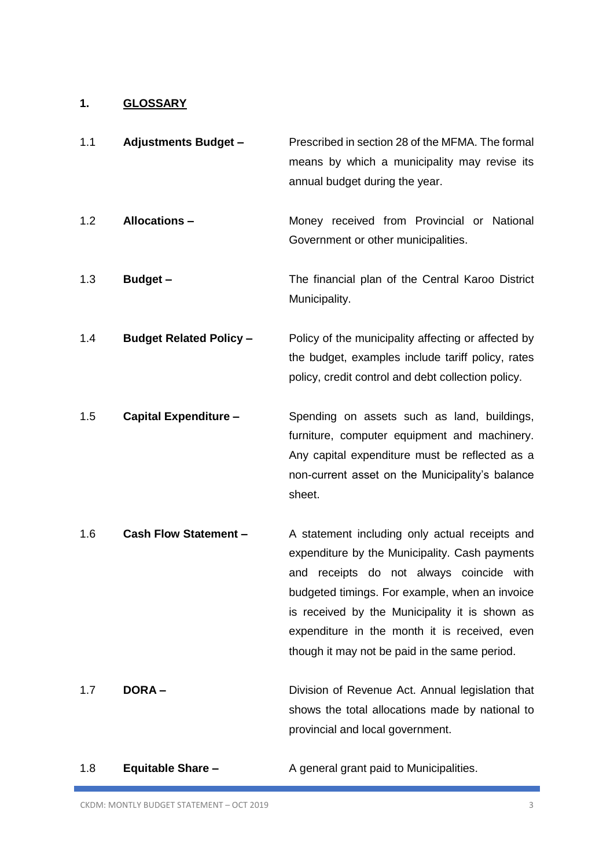# **1. GLOSSARY**

| 1.1 | <b>Adjustments Budget -</b>    | Prescribed in section 28 of the MFMA. The formal<br>means by which a municipality may revise its<br>annual budget during the year.                                                                                                                                                                                                                    |
|-----|--------------------------------|-------------------------------------------------------------------------------------------------------------------------------------------------------------------------------------------------------------------------------------------------------------------------------------------------------------------------------------------------------|
| 1.2 | <b>Allocations -</b>           | Money received from Provincial or National<br>Government or other municipalities.                                                                                                                                                                                                                                                                     |
| 1.3 | <b>Budget -</b>                | The financial plan of the Central Karoo District<br>Municipality.                                                                                                                                                                                                                                                                                     |
| 1.4 | <b>Budget Related Policy -</b> | Policy of the municipality affecting or affected by<br>the budget, examples include tariff policy, rates<br>policy, credit control and debt collection policy.                                                                                                                                                                                        |
| 1.5 | <b>Capital Expenditure -</b>   | Spending on assets such as land, buildings,<br>furniture, computer equipment and machinery.<br>Any capital expenditure must be reflected as a<br>non-current asset on the Municipality's balance<br>sheet.                                                                                                                                            |
| 1.6 | <b>Cash Flow Statement -</b>   | A statement including only actual receipts and<br>expenditure by the Municipality. Cash payments<br>receipts do not always coincide with<br>and<br>budgeted timings. For example, when an invoice<br>is received by the Municipality it is shown as<br>expenditure in the month it is received, even<br>though it may not be paid in the same period. |
| 1.7 | <b>DORA-</b>                   | Division of Revenue Act. Annual legislation that<br>shows the total allocations made by national to<br>provincial and local government.                                                                                                                                                                                                               |

1.8 **Equitable Share –** A general grant paid to Municipalities.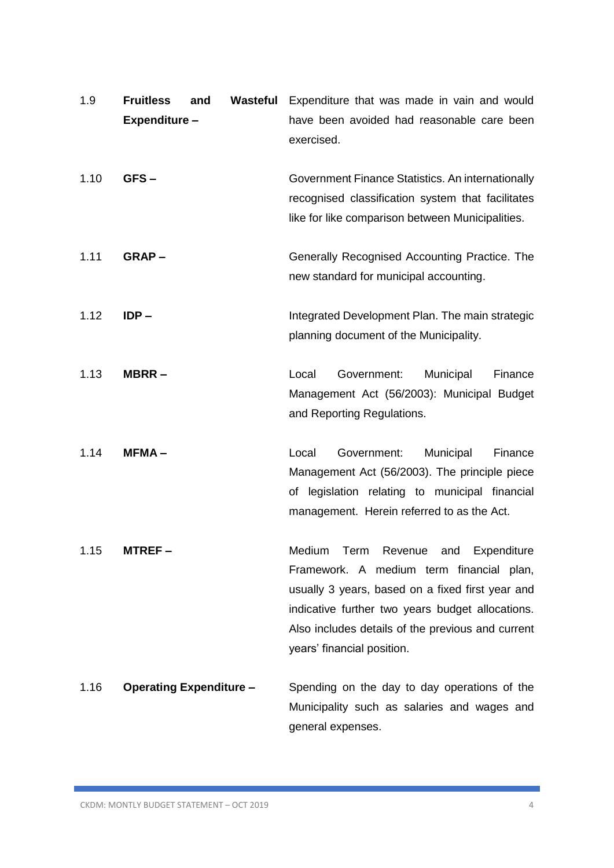| 1.9  | <b>Fruitless</b><br>Expenditure- | and                            | Wasteful | Expenditure that was made in vain and would<br>have been avoided had reasonable care been<br>exercised.                                                                                                                                                                          |
|------|----------------------------------|--------------------------------|----------|----------------------------------------------------------------------------------------------------------------------------------------------------------------------------------------------------------------------------------------------------------------------------------|
| 1.10 | GFS-                             |                                |          | Government Finance Statistics. An internationally<br>recognised classification system that facilitates<br>like for like comparison between Municipalities.                                                                                                                       |
| 1.11 | GRAP-                            |                                |          | Generally Recognised Accounting Practice. The<br>new standard for municipal accounting.                                                                                                                                                                                          |
| 1.12 | $IDP -$                          |                                |          | Integrated Development Plan. The main strategic<br>planning document of the Municipality.                                                                                                                                                                                        |
| 1.13 | $MBRR -$                         |                                |          | Local<br>Government:<br>Municipal<br>Finance<br>Management Act (56/2003): Municipal Budget<br>and Reporting Regulations.                                                                                                                                                         |
| 1.14 | $MFMA -$                         |                                |          | Government:<br>Municipal<br>Local<br>Finance<br>Management Act (56/2003). The principle piece<br>of legislation relating to municipal financial<br>management. Herein referred to as the Act.                                                                                    |
| 1.15 | MTREF –                          |                                |          | Medium<br>Revenue and Expenditure<br>Term<br>Framework. A medium term financial plan,<br>usually 3 years, based on a fixed first year and<br>indicative further two years budget allocations.<br>Also includes details of the previous and current<br>years' financial position. |
| 1.16 |                                  | <b>Operating Expenditure -</b> |          | Spending on the day to day operations of the<br>Municipality such as salaries and wages and<br>general expenses.                                                                                                                                                                 |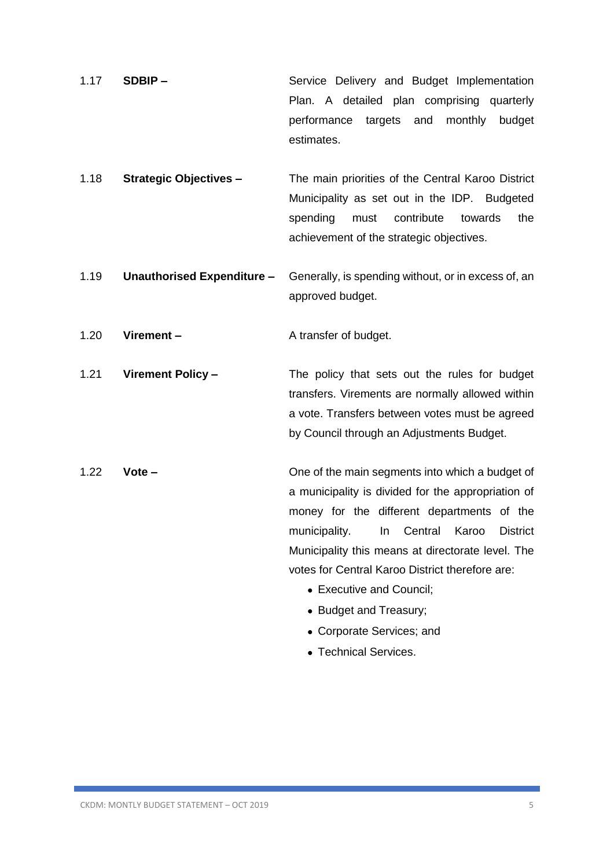- 1.17 **SDBIP –** Service Delivery and Budget Implementation Plan. A detailed plan comprising quarterly performance targets and monthly budget estimates.
- 1.18 **Strategic Objectives –** The main priorities of the Central Karoo District Municipality as set out in the IDP. Budgeted spending must contribute towards the achievement of the strategic objectives.
- 1.19 **Unauthorised Expenditure –** Generally, is spending without, or in excess of, an approved budget.

1.20 **Virement –** A transfer of budget.

1.21 **Virement Policy –** The policy that sets out the rules for budget transfers. Virements are normally allowed within a vote. Transfers between votes must be agreed by Council through an Adjustments Budget.

- 1.22 **Vote –** One of the main segments into which a budget of a municipality is divided for the appropriation of money for the different departments of the municipality. In Central Karoo District Municipality this means at directorate level. The votes for Central Karoo District therefore are:
	- Executive and Council;
	- Budget and Treasury;
	- Corporate Services; and
	- Technical Services.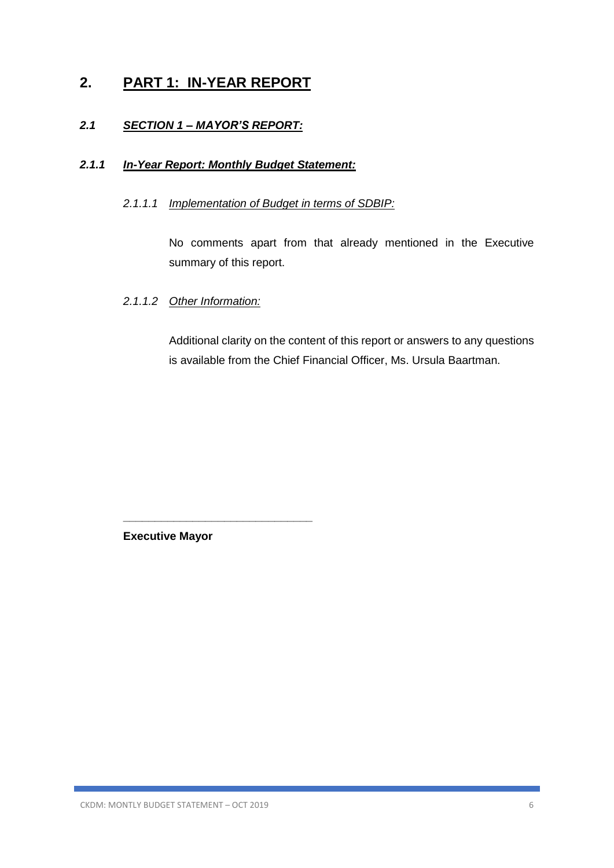# **2. PART 1: IN-YEAR REPORT**

### *2.1 SECTION 1 – MAYOR'S REPORT:*

### *2.1.1 In-Year Report: Monthly Budget Statement:*

### *2.1.1.1 Implementation of Budget in terms of SDBIP:*

No comments apart from that already mentioned in the Executive summary of this report.

### *2.1.1.2 Other Information:*

Additional clarity on the content of this report or answers to any questions is available from the Chief Financial Officer, Ms. Ursula Baartman.

**Executive Mayor**

**\_\_\_\_\_\_\_\_\_\_\_\_\_\_\_\_\_\_\_\_\_\_\_\_\_\_\_\_\_\_**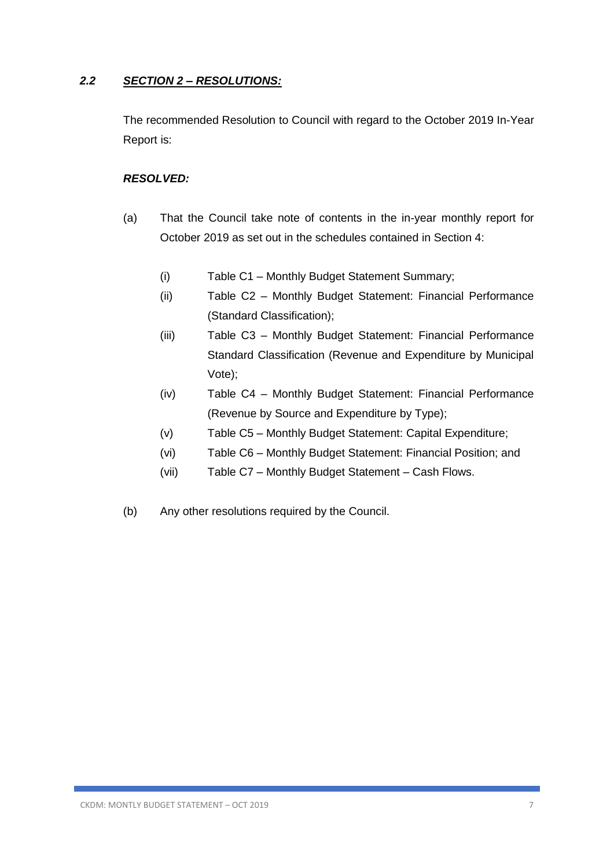### *2.2 SECTION 2 – RESOLUTIONS:*

The recommended Resolution to Council with regard to the October 2019 In-Year Report is:

### *RESOLVED:*

- (a) That the Council take note of contents in the in-year monthly report for October 2019 as set out in the schedules contained in Section 4:
	- (i) Table C1 Monthly Budget Statement Summary;
	- (ii) Table C2 Monthly Budget Statement: Financial Performance (Standard Classification);
	- (iii) Table C3 Monthly Budget Statement: Financial Performance Standard Classification (Revenue and Expenditure by Municipal Vote);
	- (iv) Table C4 Monthly Budget Statement: Financial Performance (Revenue by Source and Expenditure by Type);
	- (v) Table C5 Monthly Budget Statement: Capital Expenditure;
	- (vi) Table C6 Monthly Budget Statement: Financial Position; and
	- (vii) Table C7 Monthly Budget Statement Cash Flows.
- (b) Any other resolutions required by the Council.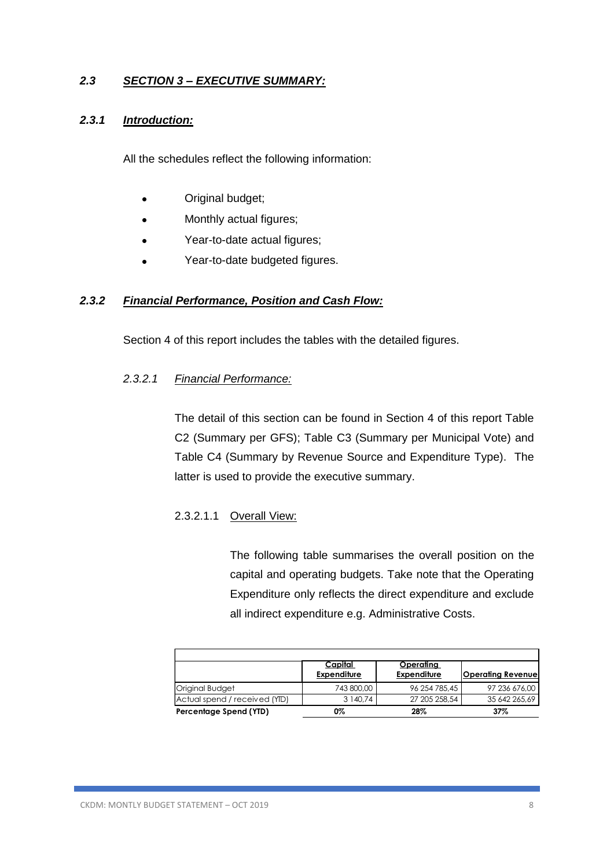### *2.3 SECTION 3 – EXECUTIVE SUMMARY:*

### *2.3.1 Introduction:*

All the schedules reflect the following information:

- Original budget;
- Monthly actual figures;
- Year-to-date actual figures;
- Year-to-date budgeted figures.

### *2.3.2 Financial Performance, Position and Cash Flow:*

Section 4 of this report includes the tables with the detailed figures.

### *2.3.2.1 Financial Performance:*

The detail of this section can be found in Section 4 of this report Table C2 (Summary per GFS); Table C3 (Summary per Municipal Vote) and Table C4 (Summary by Revenue Source and Expenditure Type). The latter is used to provide the executive summary.

### 2.3.2.1.1 Overall View:

The following table summarises the overall position on the capital and operating budgets. Take note that the Operating Expenditure only reflects the direct expenditure and exclude all indirect expenditure e.g. Administrative Costs.

|                               | Capital<br><b>Expenditure</b> | <u>Operating</u><br><b>Expenditure</b> | <b>Operating Revenue</b> |
|-------------------------------|-------------------------------|----------------------------------------|--------------------------|
| <b>Original Budget</b>        | 743 800,00                    | 96 254 785,45                          | 97 236 676,00            |
| Actual spend / received (YID) | 3 140.74                      | 27 205 258,54                          | 35 642 265.69            |
| Percentage Spend (YTD)        | 0%                            | 28%                                    | 37%                      |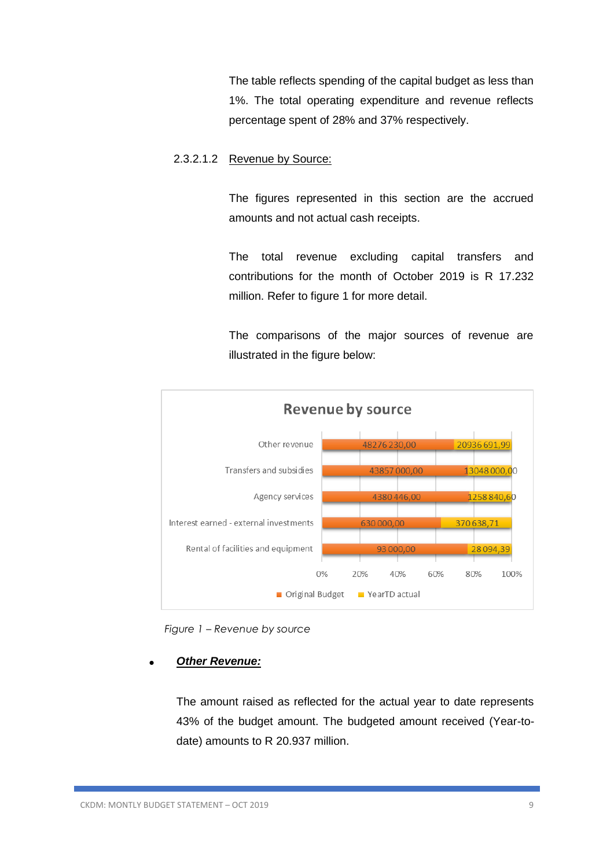The table reflects spending of the capital budget as less than 1%. The total operating expenditure and revenue reflects percentage spent of 28% and 37% respectively.

### 2.3.2.1.2 Revenue by Source:

The figures represented in this section are the accrued amounts and not actual cash receipts.

The total revenue excluding capital transfers and contributions for the month of October 2019 is R 17.232 million. Refer to figure 1 for more detail.

The comparisons of the major sources of revenue are illustrated in the figure below:



 *Figure 1 – Revenue by source* 

### • *Other Revenue:*

The amount raised as reflected for the actual year to date represents 43% of the budget amount. The budgeted amount received (Year-todate) amounts to R 20.937 million.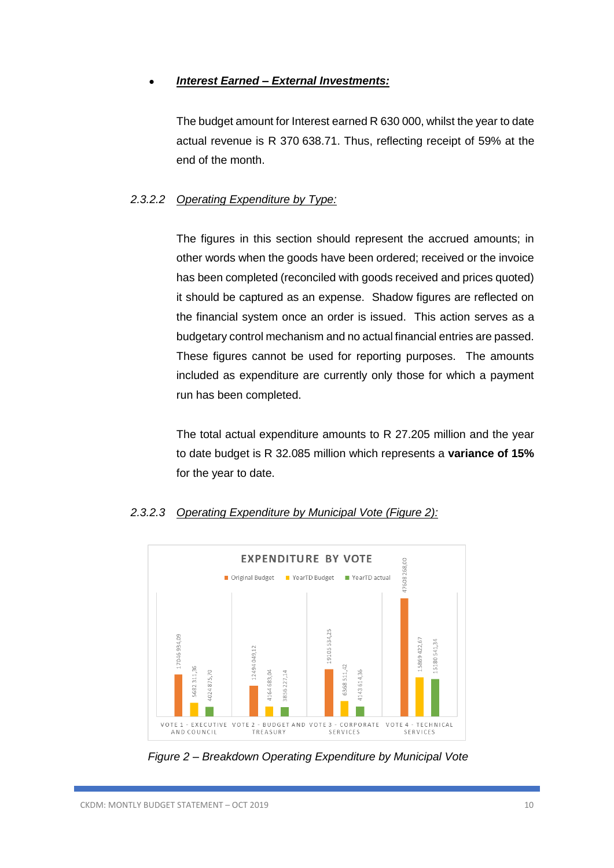### • *Interest Earned – External Investments:*

The budget amount for Interest earned R 630 000, whilst the year to date actual revenue is R 370 638.71. Thus, reflecting receipt of 59% at the end of the month.

### *2.3.2.2 Operating Expenditure by Type:*

The figures in this section should represent the accrued amounts; in other words when the goods have been ordered; received or the invoice has been completed (reconciled with goods received and prices quoted) it should be captured as an expense. Shadow figures are reflected on the financial system once an order is issued. This action serves as a budgetary control mechanism and no actual financial entries are passed. These figures cannot be used for reporting purposes. The amounts included as expenditure are currently only those for which a payment run has been completed.

The total actual expenditure amounts to R 27.205 million and the year to date budget is R 32.085 million which represents a **variance of 15%** for the year to date.



### *2.3.2.3 Operating Expenditure by Municipal Vote (Figure 2):*

*Figure 2 – Breakdown Operating Expenditure by Municipal Vote*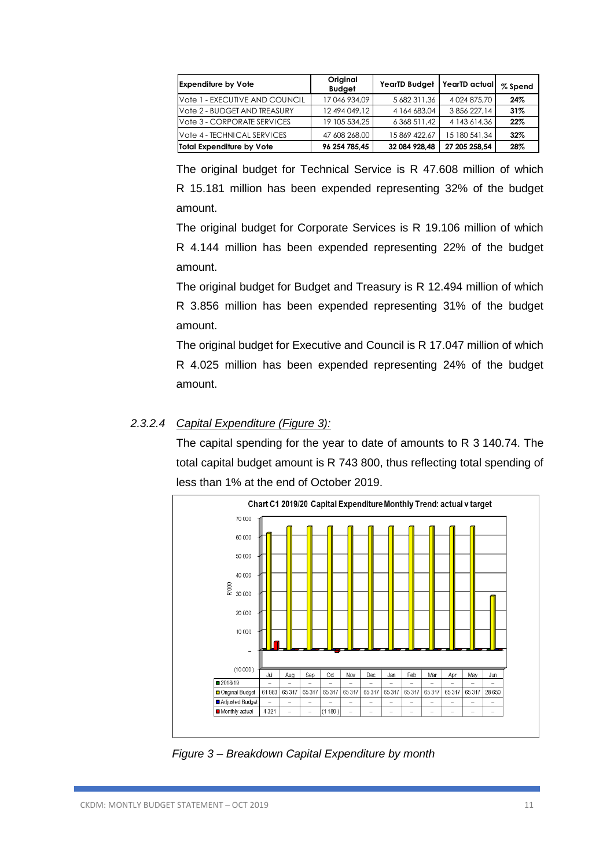| <b>Expenditure by Vote</b>     | Original<br><b>Budget</b> | <b>YearTD Budget</b> | YearTD actual      | % Spend |
|--------------------------------|---------------------------|----------------------|--------------------|---------|
| Vote 1 - EXECUTIVE AND COUNCIL | 17046934,09               | 5 682 311,36         | 4 0 24 8 7 5 , 7 0 | 24%     |
| Vote 2 - BUDGET AND TREASURY   | 12 494 049.12             | 4 164 683,04         | 3 856 227.14       | 31%     |
| Vote 3 - CORPORATE SERVICES    | 19 105 534.25             | 6 368 511,42         | 4 143 6 14.36      | 22%     |
| Vote 4 - TECHNICAL SERVICES    | 47 608 268,00             | 15 869 422.67        | 15 180 541.34      | 32%     |
| Total Expenditure by Vote      | 96 254 785.45             | 32 084 928.48        | 27 205 258.54      | 28%     |

The original budget for Technical Service is R 47.608 million of which R 15.181 million has been expended representing 32% of the budget amount.

The original budget for Corporate Services is R 19.106 million of which R 4.144 million has been expended representing 22% of the budget amount.

The original budget for Budget and Treasury is R 12.494 million of which R 3.856 million has been expended representing 31% of the budget amount.

The original budget for Executive and Council is R 17.047 million of which R 4.025 million has been expended representing 24% of the budget amount.

### *2.3.2.4 Capital Expenditure (Figure 3):*

The capital spending for the year to date of amounts to R 3 140.74. The total capital budget amount is R 743 800, thus reflecting total spending of less than 1% at the end of October 2019.



 *Figure 3 – Breakdown Capital Expenditure by month*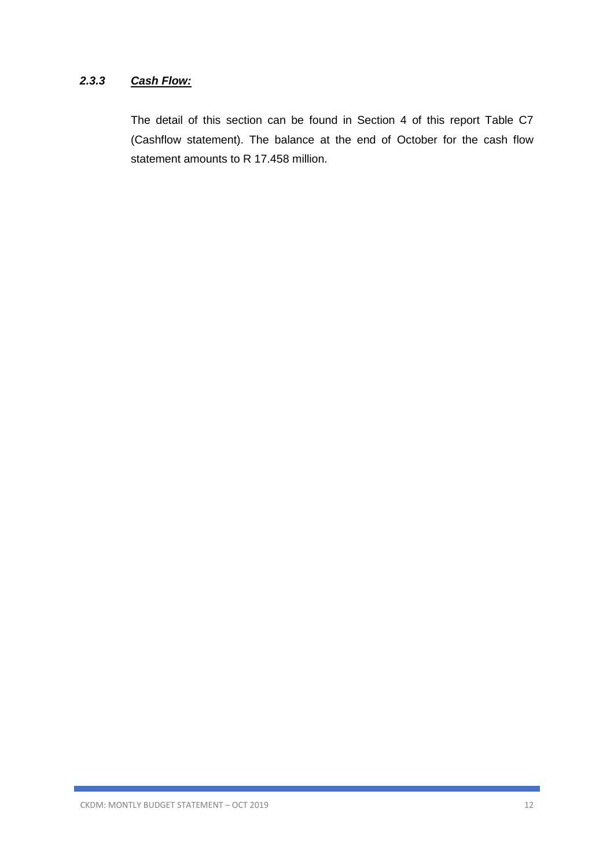### *2.3.3 Cash Flow:*

The detail of this section can be found in Section 4 of this report Table C7 (Cashflow statement). The balance at the end of October for the cash flow statement amounts to R 17.458 million.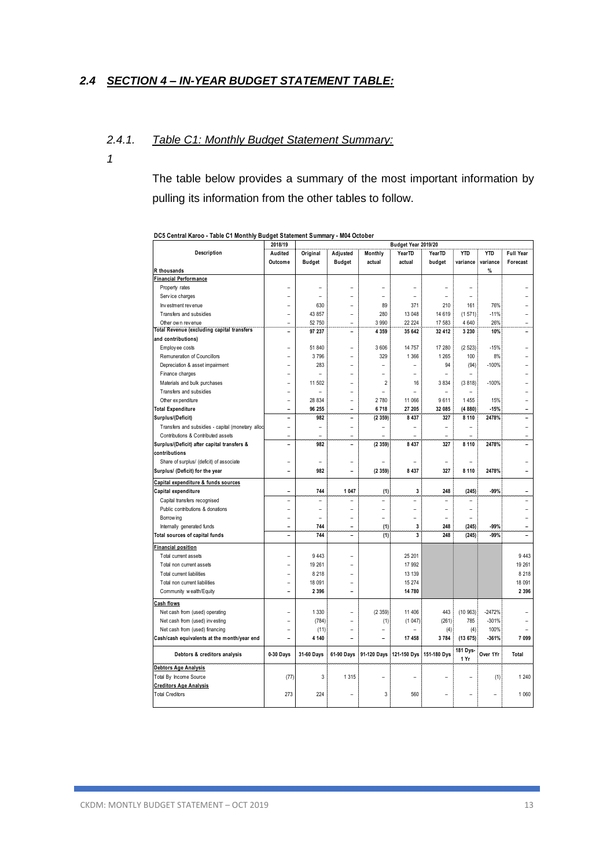### *2.4 SECTION 4 – IN-YEAR BUDGET STATEMENT TABLE:*

#### *2.4.1. Table C1: Monthly Budget Statement Summary:*

*1*

The table below provides a summary of the most important information by pulling its information from the other tables to follow.

|                                                            | 2018/19                  |                | Budget Year 2019/20 |                |                |                |                  |            |                  |
|------------------------------------------------------------|--------------------------|----------------|---------------------|----------------|----------------|----------------|------------------|------------|------------------|
| Description                                                | Audited                  | Original       | Adjusted            | Monthly        | YearTD         | YearTD         | <b>YTD</b>       | <b>YTD</b> | <b>Full Year</b> |
|                                                            | Outcome                  | <b>Budget</b>  | <b>Budget</b>       | actual         | actual         | budget         | variance         | variance   | Forecast         |
| R thousands                                                |                          |                |                     |                |                |                |                  | %          |                  |
| inancial Performance                                       |                          |                |                     |                |                |                |                  |            |                  |
| Property rates                                             |                          |                |                     | $\overline{a}$ | ۰              |                | $\overline{a}$   |            |                  |
| Service charges                                            |                          |                |                     | $\overline{a}$ |                |                |                  |            |                  |
| Investment revenue                                         |                          | 630            | L                   | 89             | 371            | 210            | 161              | 76%        |                  |
| Transfers and subsidies                                    |                          | 43 857         | $\overline{a}$      | 280            | 13 048         | 14 6 19        | (1571)           | $-11%$     |                  |
| Other own revenue                                          |                          | 52 750         | $\overline{a}$      | 3 9 9 0        | 22 224         | 17 583         | 4 640            | 26%        |                  |
| <b>Total Revenue (excluding capital transfers</b>          | ۰                        | 97 237         | -                   | 4 3 5 9        | 35 642         | 32 412         | 3 2 3 0          | 10%        |                  |
| and contributions)                                         |                          |                |                     |                |                |                |                  |            |                  |
| Employee costs                                             | ۰                        | 51 840         | L                   | 3 606          | 14 757         | 17 280         | (2523)           | $-15%$     |                  |
| Remuneration of Councillors                                |                          | 3796           | $\overline{a}$      | 329            | 1 3 6 6        | 1 2 6 5        | 100              | 8%         |                  |
| Depreciation & asset impairment                            |                          | 283            | $\overline{a}$      |                | $\overline{a}$ | 94             | (94)             | $-100%$    |                  |
| Finance charges                                            |                          |                | L                   | $\overline{a}$ |                |                |                  |            |                  |
| Materials and bulk purchases                               |                          | 11 502         | $\overline{a}$      | $\overline{2}$ | 16             | 3834           | (3818)           | $-100%$    |                  |
| Transfers and subsidies                                    |                          |                |                     | $\overline{a}$ | $\overline{a}$ | $\overline{a}$ |                  |            |                  |
| Other ex penditure                                         | ۰                        | 28 834         | $\overline{a}$      | 2 780          | 11 066         | 9611           | 1455             | 15%        |                  |
| <b>Total Expenditure</b>                                   | $\overline{a}$           | 96 255         | -                   | 6718           | 27 205         | 32 085         | (4880)           | $-15%$     |                  |
| Surplus/(Deficit)                                          | L                        | 982            | $\overline{a}$      | (2359)         | 8 4 3 7        | 327            | 8 1 1 0          | 2478%      |                  |
| Transfers and subsidies - capital (monetary alloc          | $\overline{\phantom{a}}$ | ۳              | ۳                   | $\overline{a}$ | ۰              | L              | $\overline{a}$   |            |                  |
| Contributions & Contributed assets                         |                          |                |                     |                |                |                |                  |            |                  |
| Surplus/(Deficit) after capital transfers &                | ۰                        | 982            | ۳                   | (2359)         | 8 4 3 7        | 327            | 8 1 1 0          | 2478%      |                  |
| contributions                                              |                          |                |                     |                |                |                |                  |            |                  |
| Share of surplus/ (deficit) of associate                   |                          |                |                     |                |                |                |                  |            |                  |
| Surplus/ (Deficit) for the year                            | L.                       | 982            | ۳                   | (2359)         | 8 4 3 7        | 327            | 8 1 1 0          | 2478%      |                  |
|                                                            |                          |                |                     |                |                |                |                  |            |                  |
| Capital expenditure & funds sources<br>Capital expenditure | L.                       | 744            | 1 0 4 7             |                | 3              | 248            | (245)            | -99%       |                  |
|                                                            | $\overline{\phantom{a}}$ | ۳              | ۳                   | (1)            | ۰              | L              |                  |            |                  |
| Capital transfers recognised                               |                          |                | $\overline{a}$      | $\overline{a}$ |                |                | $\overline{a}$   |            |                  |
| Public contributions & donations                           | L,                       | $\overline{a}$ |                     | $\overline{a}$ | L              | $\overline{a}$ | $\overline{a}$   |            |                  |
| Borrow ing                                                 | ۳                        | ۳              | ۳                   | $\overline{a}$ | $\overline{a}$ |                |                  |            |                  |
| Internally generated funds                                 |                          | 744            | $\overline{a}$      | (1)            | 3              | 248            | (245)            | $-99%$     |                  |
| Total sources of capital funds                             | $\overline{\phantom{0}}$ | 744            | $\overline{a}$      | (1)            | 3              | 248            | (245)            | -99%       |                  |
| inancial position                                          |                          |                |                     |                |                |                |                  |            |                  |
| Total current assets                                       |                          | 9 4 4 3        | $\overline{a}$      |                | 25 201         |                |                  |            | 9 4 4 3          |
| Total non current assets                                   |                          | 19 261         |                     |                | 17 992         |                |                  |            | 19 261           |
| Total current liabilities                                  |                          | 8 2 1 8        | L                   |                | 13 139         |                |                  |            | 8 2 1 8          |
| Total non current liabilities                              |                          | 18 091         | $\overline{a}$      |                | 15 274         |                |                  |            | 18 091           |
| Community wealth/Equity                                    |                          | 2 3 9 6        | $\overline{a}$      |                | 14 780         |                |                  |            | 2 3 9 6          |
| <b>Cash flows</b>                                          |                          |                |                     |                |                |                |                  |            |                  |
| Net cash from (used) operating                             |                          | 1 3 3 0        | $\overline{a}$      | (2359)         | 11 40 6        | 443            | (10963)          | $-2472%$   |                  |
| Net cash from (used) investing                             |                          | (784)          | $\overline{a}$      | (1)            | (1047)         | (261)          | 785              | $-301%$    |                  |
| Net cash from (used) financing                             |                          | (11)           | $\overline{a}$      | $\overline{a}$ |                | (4)            | (4)              | 100%       |                  |
| Cash/cash equivalents at the month/year end                | L,                       | 4 140          | L.                  |                | 17 458         | 3784           | (13675)          | $-361%$    | 7 0 9 9          |
| Debtors & creditors analysis                               | $0-30$ Days              | 31-60 Days     | 61-90 Days          | 91-120 Days    | 121-150 Dys    | 151-180 Dys    | 181 Dys-<br>1 Yr | Over 1Yr   | Total            |
| <b>Debtors Age Analysis</b>                                |                          |                |                     |                |                |                |                  |            |                  |
| Total By Income Source                                     | (77)                     | 3              | 1 3 1 5             |                |                |                |                  | (1)        | 1 240            |
| <b>Creditors Age Analysis</b>                              |                          |                |                     |                |                |                |                  |            |                  |
| <b>Total Creditors</b>                                     | 273                      | 224            |                     | 3              | 560            |                |                  |            | 1 0 6 0          |
|                                                            |                          |                |                     |                |                |                |                  |            |                  |

**DC5 Central Karoo - Table C1 Monthly Budget Statement Summary - M04 October**

 $\overline{\phantom{a}}$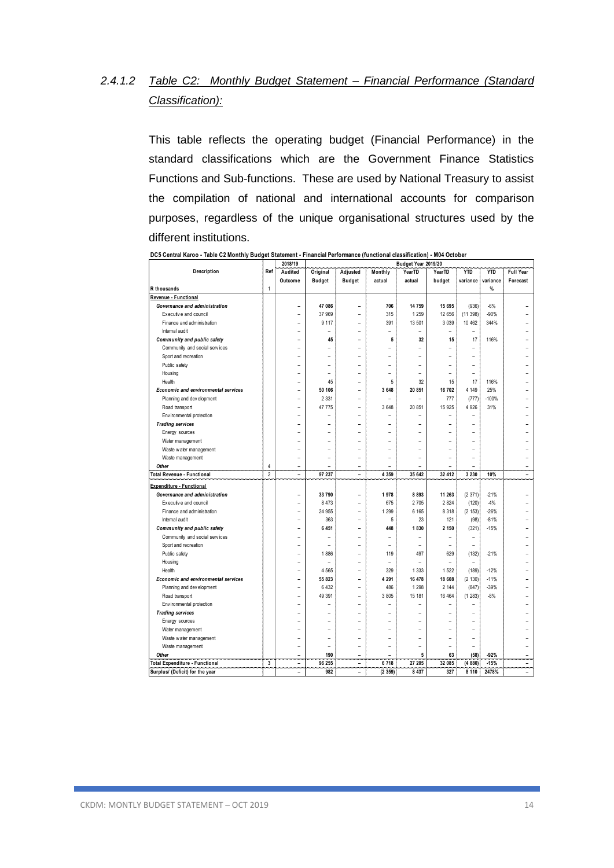# *2.4.1.2 Table C2: Monthly Budget Statement – Financial Performance (Standard Classification):*

This table reflects the operating budget (Financial Performance) in the standard classifications which are the Government Finance Statistics Functions and Sub-functions. These are used by National Treasury to assist the compilation of national and international accounts for comparison purposes, regardless of the unique organisational structures used by the different institutions.

|                                     |                         | 2018/19                  |                |                          | Budget Year 2019/20      |                          |                          |                          |            |                |
|-------------------------------------|-------------------------|--------------------------|----------------|--------------------------|--------------------------|--------------------------|--------------------------|--------------------------|------------|----------------|
| Description                         | Ref                     | Audited                  | Original       | Adjusted                 | Monthly                  | Year <sub>TD</sub>       | YearTD                   | <b>YTD</b>               | <b>YTD</b> | Full Year      |
|                                     |                         | Outcome                  | <b>Budget</b>  | <b>Budget</b>            | actual                   | actual                   | budget                   | variance                 | variance   | Forecast       |
| R thousands                         | 1                       |                          |                |                          |                          |                          |                          |                          | %          |                |
| Revenue - Functional                |                         |                          |                |                          |                          |                          |                          |                          |            |                |
| Governance and administration       |                         | $\overline{\phantom{0}}$ | 47 086         |                          | 706                      | 14 759                   | 15 695                   | (936)                    | $-6%$      |                |
| Executive and council               |                         | $\overline{a}$           | 37 969         | $\overline{a}$           | 315                      | 1 2 5 9                  | 12 656                   | (11398)                  | $-90%$     |                |
| Finance and administration          |                         | $\overline{\phantom{a}}$ | 9 1 1 7        | $\overline{\phantom{a}}$ | 391                      | 13 501                   | 3 0 3 9                  | 10 462                   | 344%       |                |
| Internal audit                      |                         | $\overline{\phantom{a}}$ |                | $\overline{a}$           |                          | L                        | $\overline{\phantom{a}}$ | $\overline{\phantom{0}}$ |            |                |
| Community and public safety         |                         | $\overline{\phantom{a}}$ | 45             | ۳                        | 5                        | 32                       | 15                       | 17                       | 116%       |                |
| Community and social services       |                         | $\overline{a}$           |                |                          |                          |                          |                          |                          |            |                |
| Sport and recreation                |                         | $\overline{a}$           | -              |                          |                          |                          |                          | $\overline{a}$           |            |                |
| Public safety                       |                         |                          |                |                          |                          |                          |                          |                          |            |                |
| Housing                             |                         | ۳                        | $\overline{a}$ |                          |                          |                          |                          | $\overline{a}$           |            |                |
| Health                              |                         |                          | 45             |                          | 5                        | 32                       | 15                       | 17                       | 116%       |                |
| Economic and environmental services |                         | $\overline{\phantom{0}}$ | 50 106         | ۰                        | 3 648                    | 20 851                   | 16 702                   | 4 1 4 9                  | 25%        |                |
| Planning and development            |                         | $\overline{\phantom{a}}$ | 2 3 3 1        | $\overline{\phantom{a}}$ |                          | $\overline{a}$           | 777                      | (777)                    | -100%      |                |
| Road transport                      |                         | $\overline{\phantom{a}}$ | 47 775         |                          | 3 648                    | 20 851                   | 15 925                   | 4 9 2 6                  | 31%        |                |
| Env ironmental protection           |                         | ۰                        |                |                          |                          |                          |                          |                          |            |                |
| <b>Trading services</b>             |                         | L.                       | -              | ۰                        |                          |                          |                          | $\overline{a}$           |            |                |
| Energy sources                      |                         |                          |                |                          |                          |                          |                          |                          |            |                |
| Water management                    |                         |                          |                |                          |                          |                          |                          |                          |            |                |
| Waste water management              |                         | ۳                        | -              |                          |                          |                          |                          | -                        |            |                |
| Waste management                    |                         | $\overline{a}$           |                |                          |                          |                          |                          | $\overline{a}$           |            |                |
| Other                               | 4                       | $\overline{\phantom{a}}$ |                | ۰                        | $\overline{\phantom{0}}$ |                          |                          | $\overline{\phantom{0}}$ |            |                |
| Total Revenue - Functional          | $\overline{\mathbf{c}}$ | $\overline{\phantom{a}}$ | 97 237         | $\overline{a}$           | 4 3 5 9                  | 35 642                   | 32 412                   | 3 2 3 0                  | 10%        | $\overline{a}$ |
| Expenditure - Functional            |                         |                          |                |                          |                          |                          |                          |                          |            |                |
| Governance and administration       |                         | L.                       | 33 790         | ۰                        | 1978                     | 8 8 9 3                  | 11 263                   | (2371)                   | $-21%$     |                |
| Executive and council               |                         | $\overline{a}$           | 8 4 7 3        |                          | 675                      | 2 7 0 5                  | 2 8 2 4                  | (120)                    | $-4%$      |                |
| Finance and administration          |                         | $\overline{a}$           | 24 955         | ۳                        | 1 2 9 9                  | 6 1 6 5                  | 8 3 1 8                  | (2 153)                  | $-26%$     |                |
| Internal audit                      |                         | $\overline{a}$           | 363            |                          | 5                        | 23                       | 121                      | (98)                     | $-81%$     |                |
| Community and public safety         |                         | $\overline{\phantom{a}}$ | 6 4 5 1        | $\overline{a}$           | 448                      | 1830                     | 2 150                    | (321)                    | $-15%$     |                |
| Community and social services       |                         |                          |                |                          |                          |                          |                          | $\overline{a}$           |            |                |
| Sport and recreation                |                         | $\overline{a}$           | $\overline{a}$ | $\overline{a}$           |                          | $\overline{\phantom{0}}$ | $\overline{\phantom{0}}$ | ۰                        |            |                |
| Public safety                       |                         | $\overline{\phantom{a}}$ | 1886           | $\overline{\phantom{a}}$ | 119                      | 497                      | 629                      | (132)                    | $-21%$     |                |
| Housing                             |                         | $\overline{\phantom{a}}$ | $\overline{a}$ |                          | $\overline{a}$           | $\overline{a}$           | $\overline{\phantom{a}}$ | $\overline{a}$           |            |                |
| Health                              |                         | $\overline{\phantom{a}}$ | 4 5 6 5        | $\overline{\phantom{a}}$ | 329                      | 1 3 3 3                  | 1 5 2 2                  | (189)                    | $-12%$     |                |
| Economic and environmental services |                         | $\overline{\phantom{a}}$ | 55 823         | ۰                        | 4 2 9 1                  | 16 478                   | 18 608                   | (2 130)                  | $-11%$     |                |
| Planning and development            |                         | $\overline{a}$           | 6 4 3 2        |                          | 486                      | 1 2 9 8                  | 2 144                    | (847)                    | $-39%$     |                |
| Road transport                      |                         |                          | 49 391         |                          | 3805                     | 15 181                   | 16 4 64                  | (1283)                   | $-8%$      |                |
| Environmental protection            |                         | $\overline{\phantom{0}}$ |                | ۰                        |                          |                          |                          | -                        |            |                |
| <b>Trading services</b>             |                         | L.                       |                | L.                       | $\overline{\phantom{0}}$ |                          |                          |                          |            |                |
| Energy sources                      |                         | $\overline{a}$           | $\overline{a}$ | $\overline{a}$           |                          |                          |                          | $\overline{\phantom{0}}$ |            |                |
| Water management                    |                         |                          |                |                          |                          |                          |                          | $\overline{a}$           |            |                |
| Waste water management              |                         | $\overline{a}$           | $\overline{a}$ |                          | $\overline{a}$           | $\overline{\phantom{0}}$ |                          | $\overline{a}$           |            |                |
|                                     |                         | $\overline{\phantom{a}}$ | $\overline{a}$ | $\overline{a}$           | $\overline{\phantom{a}}$ | $\overline{\phantom{0}}$ | $\overline{\phantom{a}}$ | $\overline{a}$           |            |                |
| Waste management<br>Other           |                         | $\overline{a}$           | 190            | ۰                        |                          | 5                        | 63                       | (58)                     | $-92%$     |                |
| Total Expenditure - Functional      | 3                       | $\overline{\phantom{a}}$ | 96 255         | $\overline{\phantom{0}}$ | 6718                     | 27 205                   | 32 085                   | (4880)                   | $-15%$     | $\overline{a}$ |
| Surplus/ (Deficit) for the year     |                         |                          | 982            | $\overline{a}$           | (2359)                   | 8 4 3 7                  | 327                      | 8 1 1 0                  | 2478%      |                |
|                                     |                         |                          |                |                          |                          |                          |                          |                          |            |                |

**DC5 Central Karoo - Table C2 Monthly Budget Statement - Financial Performance (functional classification) - M04 October**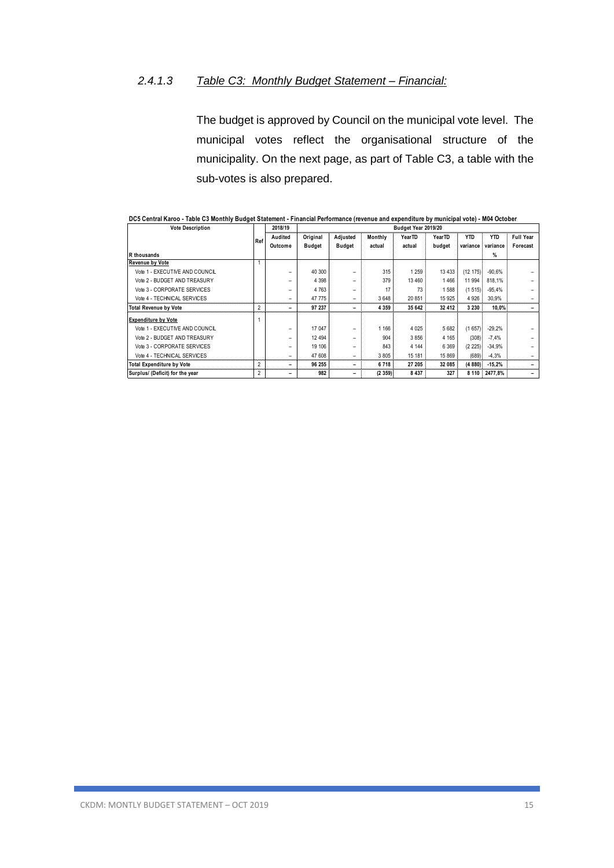### *2.4.1.3 Table C3: Monthly Budget Statement – Financial:*

The budget is approved by Council on the municipal vote level. The municipal votes reflect the organisational structure of the municipality. On the next page, as part of Table C3, a table with the sub-votes is also prepared.

| <b>Vote Description</b>         |                | Budget Year 2019/20<br>2018/19 |               |          |         |         |         |            |            |                  |
|---------------------------------|----------------|--------------------------------|---------------|----------|---------|---------|---------|------------|------------|------------------|
|                                 | Ref            | Audited                        | Original      | Adjusted | Monthly | YearTD  | YearTD  | <b>YTD</b> | <b>YTD</b> | <b>Full Year</b> |
|                                 |                | Outcome                        | <b>Budget</b> | Budget   | actual  | actual  | budget  | variance   | variance   | Forecast         |
| R thousands                     |                |                                |               |          |         |         |         |            | %          |                  |
| <b>Revenue by Vote</b>          |                |                                |               |          |         |         |         |            |            |                  |
| Vote 1 - EXECUTIVE AND COUNCIL  |                | ۰                              | 40 300        | -        | 315     | 1 259   | 13 4 33 | (12175)    | $-90.6%$   |                  |
| Vote 2 - BUDGET AND TREASURY    |                |                                | 4 3 9 8       |          | 379     | 13 460  | 1466    | 11 994     | 818.1%     |                  |
| Vote 3 - CORPORATE SERVICES     |                |                                | 4 7 6 3       |          | 17      | 73      | 1588    | (1515)     | $-95.4%$   |                  |
| Vote 4 - TECHNICAL SERVICES     |                | -                              | 47 775        | -        | 3 6 4 8 | 20 851  | 15 9 25 | 4 9 26     | 30.9%      |                  |
| <b>Total Revenue by Vote</b>    | $\overline{2}$ | -                              | 97 237        | -        | 4 3 5 9 | 35 642  | 32 412  | 3 2 3 0    | 10.0%      |                  |
| <b>Expenditure by Vote</b>      |                |                                |               |          |         |         |         |            |            |                  |
| Vote 1 - EXECUTIVE AND COUNCIL  |                | -                              | 17 047        | -        | 1 1 6 6 | 4 0 25  | 5 6 8 2 | (1657)     | $-29.2%$   |                  |
| Vote 2 - BUDGET AND TREASURY    |                |                                | 12 4 9 4      |          | 904     | 3856    | 4 1 6 5 | (308)      | $-7,4%$    |                  |
| Vote 3 - CORPORATE SERVICES     |                |                                | 19 10 6       |          | 843     | 4 1 4 4 | 6 3 6 9 | (2 225)    | $-34.9%$   |                  |
| Vote 4 - TECHNICAL SERVICES     |                |                                | 47 608        | -        | 3 8 0 5 | 15 181  | 15 869  | (689)      | $-4,3%$    |                  |
| Total Expenditure by Vote       | $\overline{2}$ | -                              | 96 255        |          | 6718    | 27 205  | 32 085  | (4880)     | $-15,2%$   |                  |
| Surplus/ (Deficit) for the year | 2              | -                              | 982           | -        | (2359)  | 8 4 3 7 | 327     | 8 1 1 0    | 2477.8%    |                  |

|  | DC5 Central Karoo - Table C3 Monthly Budget Statement - Financial Performance (revenue and expenditure by municipal vote) - M04 October |
|--|-----------------------------------------------------------------------------------------------------------------------------------------|
|  |                                                                                                                                         |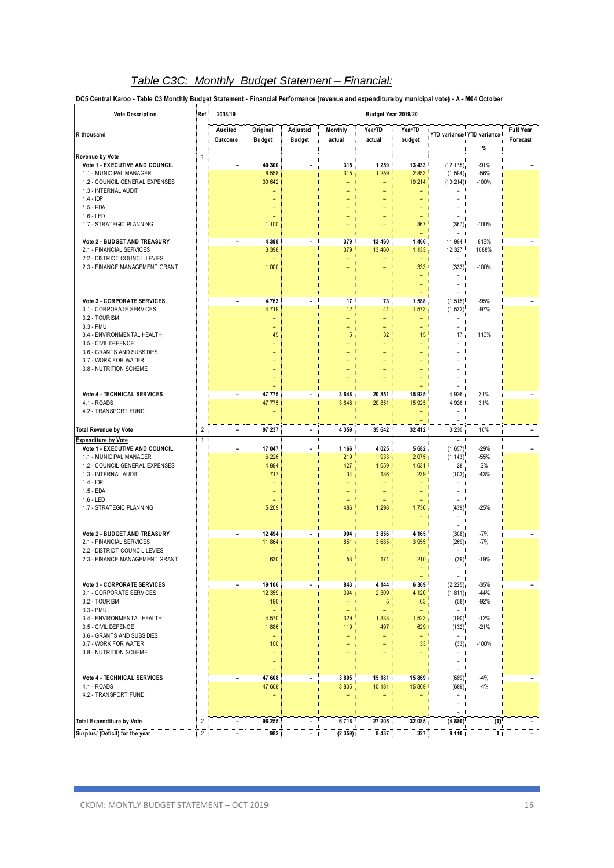# *Table C3C: Monthly Budget Statement – Financial:*

**DC5 Central Karoo - Table C3 Monthly Budget Statement - Financial Performance (revenue and expenditure by municipal vote) - A - M04 October**

| <b>Vote Description</b>                                         | Ref                     | 2018/19                      | Budget Year 2019/20             |                              |                          |                                 |                          |                                   |                                   |                              |  |
|-----------------------------------------------------------------|-------------------------|------------------------------|---------------------------------|------------------------------|--------------------------|---------------------------------|--------------------------|-----------------------------------|-----------------------------------|------------------------------|--|
| R thousand                                                      |                         | Audited<br>Outcome           | Original<br><b>Budget</b>       | Adjusted<br><b>Budget</b>    | Monthly<br>actual        | YearTD<br>actual                | <b>YearTD</b><br>budget  |                                   | YTD variance YTD variance<br>$\%$ | <b>Full Year</b><br>Forecast |  |
| Revenue by Vote<br>Vote 1 - EXECUTIVE AND COUNCIL               | $\mathbf{1}$            | $\blacksquare$               | 40 300                          | $\qquad \qquad -$            | 315                      | 1 2 5 9                         | 13 433                   | (12 175)                          | $-91%$                            |                              |  |
| 1.1 - MUNICIPAL MANAGER                                         |                         |                              | 8 5 5 8                         |                              | 315                      | 1 2 5 9                         | 2853                     | (1594)                            | $-56%$                            |                              |  |
| 1.2 - COUNCIL GENERAL EXPENSES                                  |                         |                              | 30 642                          |                              | $\overline{\phantom{0}}$ | ٠                               | 10 214                   | (10214)                           | $-100%$                           |                              |  |
| 1.3 - INTERNAL AUDIT                                            |                         |                              | -                               |                              | ۳                        | Ξ                               |                          |                                   |                                   |                              |  |
| $1.4 - IDP$<br>$1.5 - EDA$                                      |                         |                              |                                 |                              | ۳<br>÷                   | ۳<br>Ξ                          | ۳                        | $\overline{a}$                    |                                   |                              |  |
| $1.6 - LED$                                                     |                         |                              | ۳                               |                              | ۳                        | ٠                               | ٠                        | $\overline{\phantom{a}}$          |                                   |                              |  |
| 1.7 - STRATEGIC PLANNING                                        |                         |                              | 1 100                           |                              | ÷                        | Ξ                               | 367                      | (367)                             | $-100%$                           |                              |  |
| Vote 2 - BUDGET AND TREASURY                                    |                         | $\qquad \qquad -$            | 4 3 9 8                         | $\overline{\phantom{a}}$     | 379                      | 13 460                          | 1466                     | 11 994                            | 818%                              | $\overline{\phantom{a}}$     |  |
| 2.1 - FINANCIAL SERVICES                                        |                         |                              | 3 3 9 8                         |                              | 379                      | 13 460                          | 1 1 3 3                  | 12 327                            | 1088%                             |                              |  |
| 2.2 - DISTRICT COUNCIL LEVIES<br>2.3 - FINANCE MANAGEMENT GRANT |                         |                              | 1 0 0 0                         |                              | ÷<br>۳                   | ۳                               | 333                      | $\qquad \qquad -$<br>(333)        | $-100%$                           |                              |  |
|                                                                 |                         |                              |                                 |                              |                          |                                 |                          |                                   |                                   |                              |  |
|                                                                 |                         |                              |                                 |                              |                          |                                 | ٠                        | $\overline{\phantom{0}}$          |                                   |                              |  |
|                                                                 |                         |                              |                                 |                              |                          |                                 |                          |                                   |                                   |                              |  |
| <b>Vote 3 - CORPORATE SERVICES</b><br>3.1 - CORPORATE SERVICES  |                         | $\blacksquare$               | 4763<br>4 7 1 9                 | $\overline{\phantom{a}}$     | 17<br>12                 | 73<br>41                        | 1 5 8 8<br>1573          | (1515)<br>(1532)                  | $-95%$<br>$-97%$                  | $\overline{\phantom{a}}$     |  |
| 3.2 - TOURISM                                                   |                         |                              | ۳                               |                              | Ξ                        | ۳                               | ٠                        | -                                 |                                   |                              |  |
| 3.3 - PMU                                                       |                         |                              | -                               |                              | Ξ                        | ÷,                              | Ξ                        | $\overline{\phantom{0}}$          |                                   |                              |  |
| 3.4 - ENVIRONMENTAL HEALTH<br>3.5 - CIVIL DEFENCE               |                         |                              | 45<br>$\overline{\phantom{0}}$  |                              | 5<br>Ξ                   | 32<br>$\overline{\phantom{0}}$  | 15<br>۳                  | 17<br>$\overline{\phantom{0}}$    | 116%                              |                              |  |
| 3.6 - GRANTS AND SUBSIDIES                                      |                         |                              | -                               |                              | Ξ                        | $\qquad \qquad -$               | ÷                        | L                                 |                                   |                              |  |
| 3.7 - WORK FOR WATER                                            |                         |                              | $\overline{a}$                  |                              | ۳                        | ÷                               | ۳                        | $\equiv$                          |                                   |                              |  |
| 3.8 - NUTRITION SCHEME                                          |                         |                              | -                               |                              | Ξ                        | ۳                               | ۳                        | $\overline{a}$                    |                                   |                              |  |
|                                                                 |                         |                              | ۳                               |                              | ۳                        | ۳                               | ۰                        | $\overline{\phantom{a}}$          |                                   |                              |  |
| Vote 4 - TECHNICAL SERVICES                                     |                         | $\overline{\phantom{0}}$     | 47 775                          | $\overline{\phantom{a}}$     | 3 6 4 8                  | 20 851                          | 15 925                   | 4 9 2 6                           | 31%                               | $\overline{\phantom{a}}$     |  |
| 4.1 - ROADS                                                     |                         |                              | 47 775                          |                              | 3 6 4 8                  | 20 851                          | 15 9 25                  | 4 9 2 6                           | 31%                               |                              |  |
| 4.2 - TRANSPORT FUND                                            |                         |                              | ۳                               |                              |                          |                                 | $\overline{\phantom{0}}$ | $\equiv$                          |                                   |                              |  |
| <b>Total Revenue by Vote</b>                                    | $\overline{2}$          | $\blacksquare$               | 97 237                          | $\blacksquare$               | 4 3 5 9                  | 35 642                          | 32 412                   | 3 2 3 0                           | 10%                               | ۰                            |  |
| <b>Expenditure by Vote</b>                                      | $\mathbf{1}$            |                              |                                 |                              |                          |                                 |                          |                                   |                                   |                              |  |
| Vote 1 - EXECUTIVE AND COUNCIL                                  |                         | $\overline{a}$               | 17 047                          | $\overline{\phantom{a}}$     | 1 1 6 6                  | 4 0 25                          | 5 6 8 2                  | (1657)                            | $-29%$                            | $\overline{\phantom{0}}$     |  |
| 1.1 - MUNICIPAL MANAGER<br>1.2 - COUNCIL GENERAL EXPENSES       |                         |                              | 6 2 2 6<br>4 8 9 4              |                              | 219<br>427               | 933<br>1659                     | 2 0 7 5<br>1 6 3 1       | (1 143)<br>28                     | $-55%$<br>2%                      |                              |  |
| 1.3 - INTERNAL AUDIT                                            |                         |                              | 717                             |                              | 34                       | 136                             | 239                      | (103)                             | $-43%$                            |                              |  |
| $1.4 - IDP$                                                     |                         |                              | $\overline{\phantom{0}}$        |                              | Ξ                        |                                 |                          |                                   |                                   |                              |  |
| $1.5 - EDA$                                                     |                         |                              | $\overline{\phantom{0}}$        |                              | $\overline{\phantom{0}}$ | ٠                               | $\overline{\phantom{0}}$ | $\equiv$                          |                                   |                              |  |
| $1.6 - LED$<br>1.7 - STRATEGIC PLANNING                         |                         |                              | 5 2 0 9                         |                              | Ξ<br>486                 | 1 2 9 8                         | 1736                     | $\overline{\phantom{0}}$<br>(439) | $-25%$                            |                              |  |
|                                                                 |                         |                              |                                 |                              |                          |                                 |                          |                                   |                                   |                              |  |
| Vote 2 - BUDGET AND TREASURY                                    |                         | $\overline{a}$               | 12 494                          | $\qquad \qquad \blacksquare$ | 904                      | 3856                            | 4 1 6 5                  | ۰<br>(308)                        | $-7%$                             | -                            |  |
| 2.1 - FINANCIAL SERVICES                                        |                         |                              | 11 864                          |                              | 851                      | 3 685                           | 3 9 5 5                  | (269)                             | $-7%$                             |                              |  |
| 2.2 - DISTRICT COUNCIL LEVIES                                   |                         |                              | ۳                               |                              | ۳                        |                                 |                          | ۰                                 |                                   |                              |  |
| 2.3 - FINANCE MANAGEMENT GRANT                                  |                         |                              | 630                             |                              | 53                       | 171                             | 210                      | (39)                              | $-19%$                            |                              |  |
|                                                                 |                         |                              |                                 |                              |                          |                                 | ۳                        | $\qquad \qquad -$<br>÷,           |                                   |                              |  |
| <b>Vote 3 - CORPORATE SERVICES</b>                              |                         | $\overline{\phantom{a}}$     | 19 106                          | $\overline{\phantom{a}}$     | 843                      | 4 144                           | 6 3 6 9                  | (2 225)                           | $-35%$                            | $-$                          |  |
| 3.1 - CORPORATE SERVICES                                        |                         |                              | 12 3 59                         |                              | 394                      | 2 3 0 9                         | 4 1 2 0                  | (1811)                            | $-44%$                            |                              |  |
| 3.2 - TOURISM<br>$3.3 - PMU$                                    |                         |                              | 190<br>$\overline{\phantom{a}}$ |                              | ۰<br>$\equiv$            | $\sqrt{5}$<br>$\qquad \qquad -$ | 63<br>÷                  | (58)<br>$\sim$                    | $-92%$                            |                              |  |
| 3.4 - ENVIRONMENTAL HEALTH                                      |                         |                              | 4 570                           |                              | 329                      | 1 3 3 3                         | 1 5 2 3                  | (190)                             | $-12%$                            |                              |  |
| 3.5 - CIVIL DEFENCE                                             |                         |                              | 1886                            |                              | 119                      | 497                             | 629                      | (132)                             | $-21%$                            |                              |  |
| 3.6 - GRANTS AND SUBSIDIES                                      |                         |                              | $\overline{\phantom{a}}$        |                              | ÷                        | $\overline{\phantom{0}}$        | -                        | $\overline{\phantom{a}}$          |                                   |                              |  |
| 3.7 - WORK FOR WATER<br>3.8 - NUTRITION SCHEME                  |                         |                              | 100<br>$\qquad \qquad -$        |                              | Ξ<br>Ξ                   | ۳<br>$\qquad \qquad -$          | 33<br>۳                  | (33)<br>$\overline{\phantom{0}}$  | $-100%$                           |                              |  |
|                                                                 |                         |                              | $\qquad \qquad -$               |                              |                          |                                 |                          | $\overline{\phantom{a}}$          |                                   |                              |  |
|                                                                 |                         |                              | ۳                               |                              |                          |                                 |                          | ۰                                 |                                   |                              |  |
| Vote 4 - TECHNICAL SERVICES<br>4.1 - ROADS                      |                         | $\overline{\phantom{a}}$     | 47 608<br>47 608                | $\overline{\phantom{a}}$     | 3805<br>3 8 0 5          | 15 181<br>15 181                | 15 869<br>15 869         | (689)<br>(689)                    | $-4%$<br>$-4%$                    | $\overline{\phantom{a}}$     |  |
| 4.2 - TRANSPORT FUND                                            |                         |                              | -                               |                              | -                        | -                               |                          | $\overline{\phantom{0}}$          |                                   |                              |  |
|                                                                 |                         |                              |                                 |                              |                          |                                 |                          | $\overline{\phantom{0}}$          |                                   |                              |  |
| <b>Total Expenditure by Vote</b>                                | $\overline{\mathbf{2}}$ | $\overline{\phantom{0}}$     | 96 255                          | $\overline{\phantom{a}}$     | 6718                     | 27 205                          | 32 085                   | (4880)                            | (0)                               | ۰.                           |  |
| Surplus/ (Deficit) for the year                                 | $\sqrt{2}$              | $\qquad \qquad \blacksquare$ | 982                             | $\overline{\phantom{0}}$     | (2359)                   | 8 4 3 7                         | 327                      | 8 1 1 0                           | 0                                 | $\blacksquare$               |  |
|                                                                 |                         |                              |                                 |                              |                          |                                 |                          |                                   |                                   |                              |  |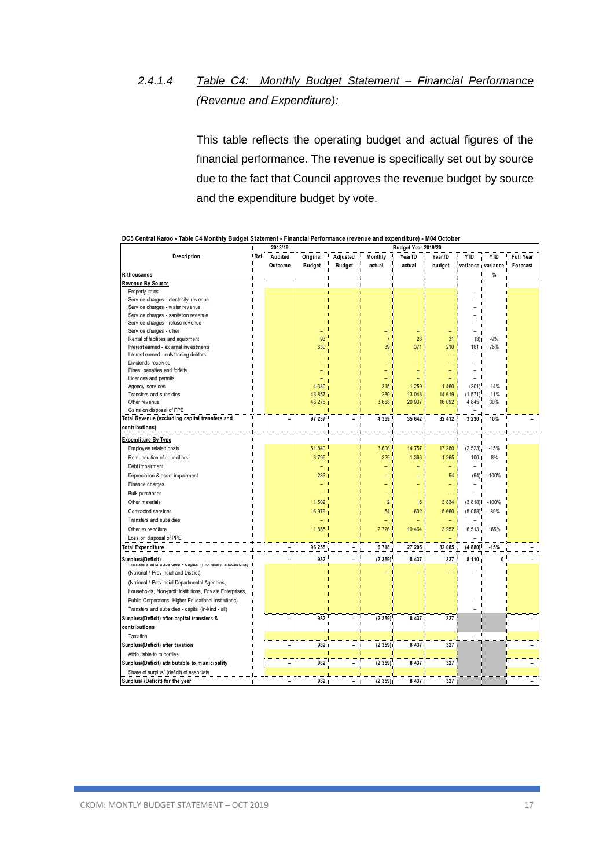# *2.4.1.4 Table C4: Monthly Budget Statement – Financial Performance (Revenue and Expenditure):*

This table reflects the operating budget and actual figures of the financial performance. The revenue is specifically set out by source due to the fact that Council approves the revenue budget by source and the expenditure budget by vote.

|                                                                              |     | <b>SA 101 12</b>         | Duuget fear zo is/zo     |                          |                |         |                          |                |               |                          |  |  |
|------------------------------------------------------------------------------|-----|--------------------------|--------------------------|--------------------------|----------------|---------|--------------------------|----------------|---------------|--------------------------|--|--|
| Description                                                                  | Ref | Audited                  | Original                 | Adjusted                 | Monthly        | YearTD  | YearTD                   | <b>YTD</b>     | <b>YTD</b>    | <b>Full Year</b>         |  |  |
|                                                                              |     | Outcome                  | <b>Budget</b>            | <b>Budget</b>            | actual         | actual  | budget                   | variance       | variance      | Forecast                 |  |  |
| R thousands                                                                  |     |                          |                          |                          |                |         |                          |                | $\%$          |                          |  |  |
| Revenue By Source                                                            |     |                          |                          |                          |                |         |                          |                |               |                          |  |  |
| Property rates                                                               |     |                          |                          |                          |                |         |                          | $\overline{a}$ |               |                          |  |  |
| Service charges - electricity revenue                                        |     |                          |                          |                          |                |         |                          | L.             |               |                          |  |  |
| Service charges - water revenue                                              |     |                          |                          |                          |                |         |                          |                |               |                          |  |  |
| Service charges - sanitation revenue                                         |     |                          |                          |                          |                |         |                          | ۳              |               |                          |  |  |
| Service charges - refuse revenue                                             |     |                          |                          |                          |                |         |                          |                |               |                          |  |  |
| Service charges - other                                                      |     |                          | ۳                        |                          | ۳              | ÷       | $\overline{\phantom{0}}$ | $\overline{a}$ |               |                          |  |  |
| Rental of facilities and equipment                                           |     |                          | 93                       |                          | $\overline{7}$ | 28      | 31                       | (3)            | $-9%$         |                          |  |  |
| Interest earned - external investments                                       |     |                          | 630                      |                          | 89             | 371     | 210                      | 161            | 76%           |                          |  |  |
| Interest earned - outstanding debtors                                        |     |                          | $\overline{\phantom{0}}$ |                          | ۳              |         |                          | $\overline{a}$ |               |                          |  |  |
| Dividends received                                                           |     |                          | L.                       |                          | Ξ              |         |                          | $\overline{a}$ |               |                          |  |  |
| Fines, penalties and forfeits                                                |     |                          | ۳                        |                          | ۳              |         |                          | $\overline{a}$ |               |                          |  |  |
| Licences and permits                                                         |     |                          |                          |                          | Ξ              |         |                          | $\overline{a}$ |               |                          |  |  |
| Agency services                                                              |     |                          | 4 3 8 0                  |                          | 315            | 1 2 5 9 | 1 4 6 0                  | (201)          | $-14%$        |                          |  |  |
| Transfers and subsidies                                                      |     |                          | 43 857                   |                          | 280            | 13 048  | 14 6 19                  | (1571)         | $-11%$<br>30% |                          |  |  |
| Other revenue                                                                |     |                          | 48 276                   |                          | 3 6 6 8        | 20 937  | 16 092                   | 4 8 4 5        |               |                          |  |  |
| Gains on disposal of PPE<br>Total Revenue (excluding capital transfers and   |     | ÷                        |                          | ۰                        |                |         |                          |                |               |                          |  |  |
|                                                                              |     |                          | 97 237                   |                          | 4 3 5 9        | 35 642  | 32 412                   | 3 2 3 0        | 10%           |                          |  |  |
| contributions)                                                               |     |                          |                          |                          |                |         |                          |                |               |                          |  |  |
| <b>Expenditure By Type</b>                                                   |     |                          |                          |                          |                |         |                          |                |               |                          |  |  |
| Employ ee related costs                                                      |     |                          | 51 840                   |                          | 3 606          | 14 757  | 17 280                   | (2523)         | $-15%$        |                          |  |  |
| Remuneration of councillors                                                  |     |                          | 3796                     |                          | 329            | 1 3 6 6 | 1 2 6 5                  | 100            | 8%            |                          |  |  |
| Debt impairment                                                              |     |                          | $\overline{\phantom{0}}$ |                          | ۳              | ۳       | Ξ                        | $\overline{a}$ |               |                          |  |  |
| Depreciation & asset impairment                                              |     |                          | 283                      |                          | ۳              |         | 94                       | (94)           | $-100%$       |                          |  |  |
| Finance charges                                                              |     |                          | $\overline{\phantom{0}}$ |                          | ۳              | ۳       | ۳                        | $\overline{a}$ |               |                          |  |  |
| Bulk purchases                                                               |     |                          | ۰                        |                          | -              | ۳       | ۳                        | ۰              |               |                          |  |  |
| Other materials                                                              |     |                          | 11 502                   |                          | $\overline{2}$ | 16      | 3 8 3 4                  | (3818)         | $-100%$       |                          |  |  |
| Contracted services                                                          |     |                          | 16 979                   |                          | 54             | 602     | 5 6 6 0                  |                | $-89%$        |                          |  |  |
|                                                                              |     |                          |                          |                          |                |         |                          | (5058)         |               |                          |  |  |
| Transfers and subsidies                                                      |     |                          | ÷                        |                          | ۳              | Ξ       | ÷,                       | ۳              |               |                          |  |  |
| Other ex penditure                                                           |     |                          | 11 855                   |                          | 2 7 2 6        | 10 4 64 | 3 9 5 2                  | 6513           | 165%          |                          |  |  |
| Loss on disposal of PPE                                                      |     |                          |                          |                          |                |         |                          |                |               |                          |  |  |
| <b>Total Expenditure</b>                                                     |     | $\overline{\phantom{0}}$ | 96 255                   | $\overline{\phantom{0}}$ | 6718           | 27 205  | 32 085                   | (4880)         | $-15%$        |                          |  |  |
| Surplus/(Deficit)<br>mansiers and subsidies - capital (inonetary anocations) |     | L.                       | 982                      | $\blacksquare$           | (2359)         | 8 4 3 7 | 327                      | 8 1 1 0        | 0             |                          |  |  |
| (National / Provincial and District)                                         |     |                          |                          |                          |                |         |                          |                |               |                          |  |  |
| (National / Provincial Departmental Agencies,                                |     |                          |                          |                          |                |         |                          |                |               |                          |  |  |
| Households, Non-profit Institutions, Private Enterprises,                    |     |                          |                          |                          |                |         |                          |                |               |                          |  |  |
| Public Corporatons, Higher Educational Institutions)                         |     |                          |                          |                          |                |         |                          | $\overline{a}$ |               |                          |  |  |
| Transfers and subsidies - capital (in-kind - all)                            |     |                          |                          |                          |                |         |                          |                |               |                          |  |  |
| Surplus/(Deficit) after capital transfers &                                  |     | Ē,                       | 982                      | $\overline{\phantom{0}}$ | (2359)         | 8 4 3 7 | 327                      |                |               |                          |  |  |
|                                                                              |     |                          |                          |                          |                |         |                          |                |               |                          |  |  |
| contributions                                                                |     |                          |                          |                          |                |         |                          |                |               |                          |  |  |
| Taxation                                                                     |     |                          |                          |                          |                |         |                          | L.             |               |                          |  |  |
| Surplus/(Deficit) after taxation                                             |     | ۰                        | 982                      | ۰                        | (2359)         | 8 4 3 7 | 327                      |                |               |                          |  |  |
| Attributable to minorities                                                   |     |                          |                          |                          |                |         |                          |                |               |                          |  |  |
| Surplus/(Deficit) attributable to municipality                               |     | $\overline{\phantom{0}}$ | 982                      | $\blacksquare$           | (2359)         | 8 4 3 7 | 327                      |                |               |                          |  |  |
| Share of surplus/ (deficit) of associate                                     |     |                          |                          |                          |                |         |                          |                |               |                          |  |  |
| Surplus/ (Deficit) for the year                                              |     | L,                       | 982                      | L.                       | (2359)         | 8 4 3 7 | 327                      |                |               | $\overline{\phantom{0}}$ |  |  |

|  |         | DC5 Central Karoo - Table C4 Monthly Budget Statement - Financial Performance (revenue and expenditure) - M04 October |
|--|---------|-----------------------------------------------------------------------------------------------------------------------|
|  | 2018/19 | <b>Budget Year 2019/20</b>                                                                                            |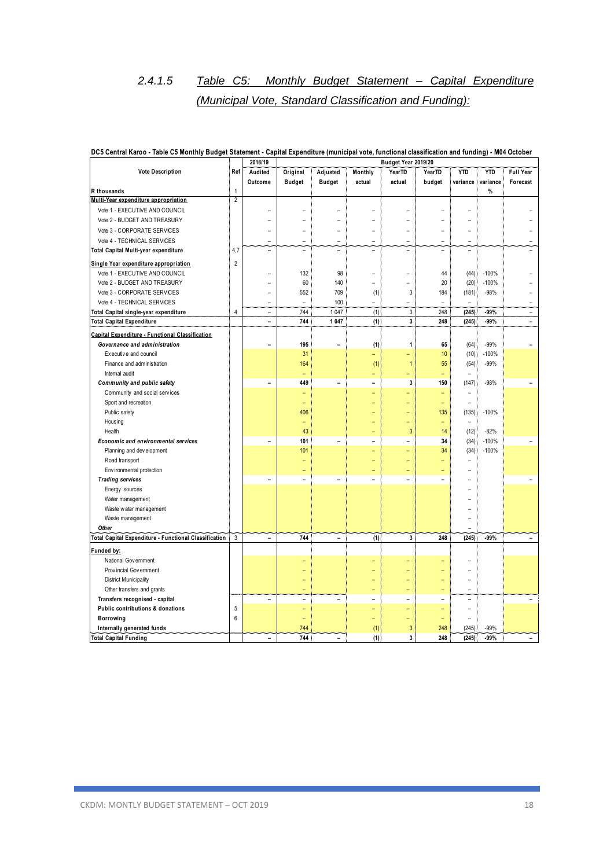# *2.4.1.5 Table C5: Monthly Budget Statement – Capital Expenditure (Municipal Vote, Standard Classification and Funding):*

|                                                            |                | 2018/19                  |                          | Budget Year 2019/20      |                          |                          |                |                          |            |                          |
|------------------------------------------------------------|----------------|--------------------------|--------------------------|--------------------------|--------------------------|--------------------------|----------------|--------------------------|------------|--------------------------|
| <b>Vote Description</b>                                    | Ref            | Audited                  | Original                 | Adjusted                 | Monthly                  | YearTD                   | YearTD         | <b>YTD</b>               | <b>YTD</b> | Full Year                |
|                                                            |                | Outcome                  | <b>Budget</b>            | <b>Budget</b>            | actual                   | actual                   | budget         | variance                 | variance   | Forecast                 |
| R thousands                                                | $\mathbf{1}$   |                          |                          |                          |                          |                          |                |                          | %          |                          |
| Multi-Year expenditure appropriation                       | $\overline{2}$ |                          |                          |                          |                          |                          |                |                          |            |                          |
| Vote 1 - EXECUTIVE AND COUNCIL                             |                | ۰                        |                          |                          | L.                       | ۳                        |                |                          |            |                          |
| Vote 2 - BUDGET AND TREASURY                               |                | L.                       |                          |                          | L.                       | L.                       |                |                          |            |                          |
| Vote 3 - CORPORATE SERVICES                                |                | ۰                        |                          |                          | L,                       | $\overline{\phantom{0}}$ |                |                          |            |                          |
| Vote 4 - TECHNICAL SERVICES                                |                | $\overline{\phantom{a}}$ | $\equiv$                 | $\equiv$                 | $\equiv$                 | ٠                        | $\equiv$       | $\equiv$                 |            |                          |
| Total Capital Multi-year expenditure                       | 4,7            | $\equiv$                 | $\overline{\phantom{0}}$ | $\equiv$                 | $\overline{a}$           | ÷                        | $\overline{a}$ | ۳                        |            |                          |
| Single Year expenditure appropriation                      | $\overline{2}$ |                          |                          |                          |                          |                          |                |                          |            |                          |
| Vote 1 - EXECUTIVE AND COUNCIL                             |                | $\overline{\phantom{0}}$ | 132                      | 98                       | L,                       | L.                       | 44             | (44)                     | $-100%$    |                          |
| Vote 2 - BUDGET AND TREASURY                               |                | ÷,                       | 60                       | 140                      | L,                       | $\overline{\phantom{0}}$ | 20             | (20)                     | $-100%$    |                          |
| Vote 3 - CORPORATE SERVICES                                |                | $\overline{\phantom{a}}$ | 552                      | 709                      | (1)                      | 3                        | 184            | (181)                    | $-98%$     |                          |
| Vote 4 - TECHNICAL SERVICES                                |                | $\equiv$                 | $\equiv$                 | 100                      | $\overline{\phantom{a}}$ | ÷                        | $\rightarrow$  | $\overline{\phantom{a}}$ |            | $\rightarrow$            |
| Total Capital single-year expenditure                      | $\overline{4}$ | $\overline{\phantom{a}}$ | 744                      | 1 0 4 7                  | (1)                      | 3                        | 248            | (245)                    | -99%       | $\overline{\phantom{a}}$ |
| <b>Total Capital Expenditure</b>                           |                | $\blacksquare$           | 744                      | 1 0 4 7                  | (1)                      | 3                        | 248            | (245)                    | -99%       | $\blacksquare$           |
| Capital Expenditure - Functional Classification            |                |                          |                          |                          |                          |                          |                |                          |            |                          |
| Governance and administration                              |                | ÷                        | 195                      |                          | (1)                      | 1                        | 65             | (64)                     | $-99%$     |                          |
| Executive and council                                      |                |                          | 31                       |                          | L,                       | Ξ                        | 10             | (10)                     | $-100%$    |                          |
| Finance and administration                                 |                |                          | 164                      |                          | (1)                      | $\mathbf{1}$             | 55             | (54)                     | $-99%$     |                          |
| Internal audit                                             |                |                          | ۳                        |                          | Ξ                        | ÷                        | ۳              | ÷                        |            |                          |
| Community and public safety                                |                |                          | 449                      | $\overline{\phantom{0}}$ | ۳                        | 3                        | 150            | (147)                    | $-98%$     |                          |
| Community and social services                              |                |                          |                          |                          | ۳                        | L,                       |                | ۰                        |            |                          |
| Sport and recreation                                       |                |                          | ÷                        |                          |                          | ÷                        | ۳              | ÷                        |            |                          |
| Public safety                                              |                |                          | 406                      |                          |                          | L,                       | 135            | (135)                    | $-100%$    |                          |
| Housing                                                    |                |                          | ÷                        |                          |                          | L,                       | ÷,             | ÷                        |            |                          |
| Health                                                     |                |                          | 43                       |                          | ÷                        | 3                        | 14             | (12)                     | $-82%$     |                          |
| Economic and environmental services                        |                |                          | 101                      | $\overline{a}$           | $\overline{a}$           | ۳                        | 34             | (34)                     | $-100%$    |                          |
| Planning and dev elopment                                  |                |                          | 101                      |                          | ۳                        | ÷                        | 34             | (34)                     | $-100%$    |                          |
| Road transport                                             |                |                          |                          |                          |                          | ÷                        |                | ÷                        |            |                          |
| Environmental protection                                   |                |                          |                          |                          |                          | ÷                        |                | ۳                        |            |                          |
| <b>Trading services</b>                                    |                | ÷                        | $\equiv$                 | L.                       | L.                       | L.                       | L.             |                          |            |                          |
| Energy sources                                             |                |                          |                          |                          |                          |                          |                |                          |            |                          |
| Water management                                           |                |                          |                          |                          |                          |                          |                |                          |            |                          |
| Waste water management                                     |                |                          |                          |                          |                          |                          |                |                          |            |                          |
| Waste management                                           |                |                          |                          |                          |                          |                          |                |                          |            |                          |
| Other                                                      |                |                          |                          |                          |                          |                          |                | ۳                        |            |                          |
| Total Capital Expenditure - Functional Classification      | $\mathbf{3}$   | $\overline{\phantom{0}}$ | 744                      | $\blacksquare$           | (1)                      | 3                        | 248            | (245)                    | -99%       | $\blacksquare$           |
| Funded by:                                                 |                |                          |                          |                          |                          |                          |                |                          |            |                          |
| National Government                                        |                |                          |                          |                          |                          |                          |                |                          |            |                          |
| Provincial Government                                      |                |                          |                          |                          |                          |                          |                | ÷                        |            |                          |
| District Municipality                                      |                |                          |                          |                          |                          | ۳                        |                | $\overline{\phantom{0}}$ |            |                          |
| Other transfers and grants                                 |                |                          | ÷                        |                          | Ξ                        | L,                       | ۳              | ÷                        |            |                          |
| Transfers recognised - capital                             |                | $\overline{\phantom{0}}$ | $\overline{a}$           | $\overline{a}$           | $\overline{\phantom{0}}$ | $\overline{\phantom{0}}$ | $\overline{a}$ | ÷                        |            |                          |
| Public contributions & donations                           | 5              |                          | ۳                        |                          | ÷                        | ۳                        |                | L.                       |            |                          |
| <b>Borrowing</b>                                           | 6              |                          | L.                       |                          | Ξ                        | ۳                        | Ξ              | $\overline{\phantom{0}}$ |            |                          |
|                                                            |                |                          | 744                      |                          | (1)                      | 3                        | 248            | (245)                    | $-99%$     |                          |
| Internally generated funds<br><b>Total Capital Funding</b> |                | ۰                        | 744                      | $\overline{\phantom{0}}$ | (1)                      | 3                        | 248            | (245)                    | -99%       | $\blacksquare$           |
|                                                            |                |                          |                          |                          |                          |                          |                |                          |            |                          |

### **DC5 Central Karoo - Table C5 Monthly Budget Statement - Capital Expenditure (municipal vote, functional classification and funding) - M04 October**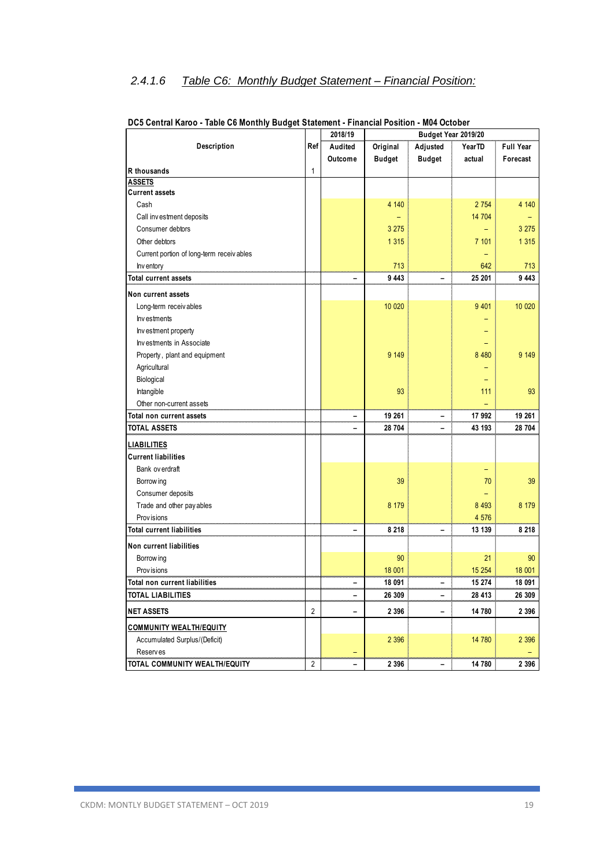### *2.4.1.6 Table C6: Monthly Budget Statement – Financial Position:*

|                                           |                | 2018/19                      |               | Budget Year 2019/20      |         |                  |
|-------------------------------------------|----------------|------------------------------|---------------|--------------------------|---------|------------------|
| Description                               | Ref            | Audited                      | Original      | Adjusted                 | YearTD  | <b>Full Year</b> |
|                                           |                | Outcome                      | <b>Budget</b> | <b>Budget</b>            | actual  | Forecast         |
| R thousands                               | 1              |                              |               |                          |         |                  |
| <b>ASSETS</b>                             |                |                              |               |                          |         |                  |
| <b>Current assets</b>                     |                |                              |               |                          |         |                  |
| Cash                                      |                |                              | 4 140         |                          | 2 7 5 4 | 4 140            |
| Call investment deposits                  |                |                              |               |                          | 14 704  |                  |
| Consumer debtors                          |                |                              | 3 2 7 5       |                          |         | 3 2 7 5          |
| Other debtors                             |                |                              | 1 3 1 5       |                          | 7 101   | 1 3 1 5          |
| Current portion of long-term receiv ables |                |                              |               |                          |         |                  |
| Inv entory                                |                |                              | 713           |                          | 642     | 713              |
| <b>Total current assets</b>               |                |                              | 9 4 4 3       |                          | 25 201  | 9 4 4 3          |
| Non current assets                        |                |                              |               |                          |         |                  |
| Long-term receiv ables                    |                |                              | 10 0 20       |                          | 9 4 0 1 | 10 0 20          |
| Investments                               |                |                              |               |                          |         |                  |
| Inv estment property                      |                |                              |               |                          |         |                  |
| Investments in Associate                  |                |                              |               |                          |         |                  |
| Property, plant and equipment             |                |                              | 9 1 4 9       |                          | 8 4 8 0 | 9 1 4 9          |
| Agricultural                              |                |                              |               |                          |         |                  |
| Biological                                |                |                              |               |                          |         |                  |
| Intangible                                |                |                              | 93            |                          | 111     | 93               |
| Other non-current assets                  |                |                              |               |                          |         |                  |
| Total non current assets                  |                | -                            | 19 261        | -                        | 17 992  | 19 261           |
| TOTAL ASSETS                              |                |                              | 28 704        | $\overline{\phantom{0}}$ | 43 193  | 28 704           |
| <b>LIABILITIES</b>                        |                |                              |               |                          |         |                  |
| <b>Current liabilities</b>                |                |                              |               |                          |         |                  |
| Bank ov erdraft                           |                |                              |               |                          |         |                  |
| Borrow ing                                |                |                              | 39            |                          | 70      | 39               |
| Consumer deposits                         |                |                              |               |                          |         |                  |
| Trade and other pay ables                 |                |                              | 8 1 7 9       |                          | 8 4 9 3 | 8 1 7 9          |
| Prov isions                               |                |                              |               |                          | 4 576   |                  |
| <b>Total current liabilities</b>          |                |                              | 8 2 1 8       |                          | 13 139  | 8 2 1 8          |
| Non current liabilities                   |                |                              |               |                          |         |                  |
| Borrow ing                                |                |                              | 90            |                          | 21      | 90               |
| Prov isions                               |                |                              | 18 001        |                          | 15 254  | 18 001           |
| Total non current liabilities             |                |                              | 18 091        | $\overline{\phantom{0}}$ | 15 274  | 18 091           |
| TOTAL LIABILITIES                         |                | $\qquad \qquad \blacksquare$ | 26 309        | -                        | 28 413  | 26 309           |
|                                           |                |                              |               |                          |         |                  |
| <b>NET ASSETS</b>                         | $\overline{2}$ |                              | 2 3 9 6       | -                        | 14 780  | 2 3 9 6          |
| <b>COMMUNITY WEALTH/EQUITY</b>            |                |                              |               |                          |         |                  |
| Accumulated Surplus/(Deficit)             |                |                              | 2 3 9 6       |                          | 14 780  | 2 3 9 6          |
| <b>Reserves</b>                           |                | $\overline{\phantom{0}}$     |               |                          |         |                  |
| TOTAL COMMUNITY WEALTH/EQUITY             | $\overline{2}$ | $\overline{a}$               | 2 3 9 6       | -                        | 14 780  | 2 3 9 6          |

### **DC5 Central Karoo - Table C6 Monthly Budget Statement - Financial Position - M04 October**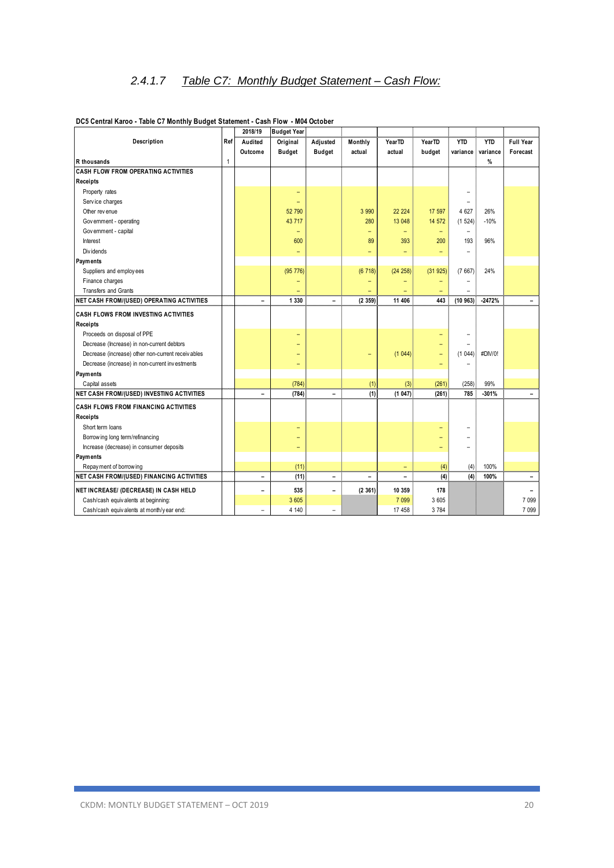|                                                   |              | 2018/19                  | <b>Budget Year</b>       |                          |         |          |                          |                   |            |                          |
|---------------------------------------------------|--------------|--------------------------|--------------------------|--------------------------|---------|----------|--------------------------|-------------------|------------|--------------------------|
| Description                                       | Ref          | Audited                  | Original                 | Adjusted                 | Monthly | YearTD   | YearTD                   | <b>YTD</b>        | <b>YTD</b> | <b>Full Year</b>         |
|                                                   |              | Outcome                  | <b>Budget</b>            | <b>Budget</b>            | actual  | actual   | budget                   | variance          | variance   | Forecast                 |
| R thousands                                       | $\mathbf{1}$ |                          |                          |                          |         |          |                          |                   | %          |                          |
| <b>CASH FLOW FROM OPERATING ACTIVITIES</b>        |              |                          |                          |                          |         |          |                          |                   |            |                          |
| Receipts                                          |              |                          |                          |                          |         |          |                          |                   |            |                          |
| Property rates                                    |              |                          | -                        |                          |         |          |                          |                   |            |                          |
| Service charges                                   |              |                          | $\overline{\phantom{0}}$ |                          |         |          |                          | $\equiv$          |            |                          |
| Other revenue                                     |              |                          | 52 790                   |                          | 3 9 9 0 | 22 2 2 4 | 17 597                   | 4 6 27            | 26%        |                          |
| Government - operating                            |              |                          | 43 717                   |                          | 280     | 13 048   | 14 572                   | (1524)            | $-10%$     |                          |
| Government - capital                              |              |                          | $\qquad \qquad -$        |                          | -       | -        | $\qquad \qquad -$        | $\qquad \qquad -$ |            |                          |
| Interest                                          |              |                          | 600                      |                          | 89      | 393      | 200                      | 193               | 96%        |                          |
| Div idends                                        |              |                          | $\equiv$                 |                          | ÷       | ÷        | $\overline{\phantom{0}}$ | $\equiv$          |            |                          |
| Payments                                          |              |                          |                          |                          |         |          |                          |                   |            |                          |
| Suppliers and employees                           |              |                          | (95 776)                 |                          | (6718)  | (24 258) | (31925)                  | (7667)            | 24%        |                          |
| Finance charges                                   |              |                          | -                        |                          |         |          |                          |                   |            |                          |
| Transfers and Grants                              |              |                          |                          |                          |         |          |                          |                   |            |                          |
| <b>NET CASH FROM/(USED) OPERATING ACTIVITIES</b>  |              | $\overline{\phantom{0}}$ | 1 3 3 0                  | Ξ.                       | (2359)  | 11 406   | 443                      | (10963)           | $-2472%$   |                          |
| <b>CASH FLOWS FROM INVESTING ACTIVITIES</b>       |              |                          |                          |                          |         |          |                          |                   |            |                          |
| Receipts                                          |              |                          |                          |                          |         |          |                          |                   |            |                          |
| Proceeds on disposal of PPE                       |              |                          | ۳                        |                          |         |          |                          |                   |            |                          |
| Decrease (Increase) in non-current debtors        |              |                          | ۳                        |                          |         |          |                          |                   |            |                          |
| Decrease (increase) other non-current receivables |              |                          | ۳                        |                          |         | (1044)   |                          | (1044)            | #DIV/0!    |                          |
| Decrease (increase) in non-current investments    |              |                          | ٠                        |                          |         |          | -                        |                   |            |                          |
| Payments                                          |              |                          |                          |                          |         |          |                          |                   |            |                          |
| Capital assets                                    |              |                          | (784)                    |                          | (1)     | (3)      | (261)                    | (258)             | 99%        |                          |
| NET CASH FROM/(USED) INVESTING ACTIVITIES         |              | $\overline{a}$           | (784)                    | $\overline{a}$           | (1)     | (1047)   | (261)                    | 785               | $-301%$    | $\overline{\phantom{0}}$ |
| <b>CASH FLOWS FROM FINANCING ACTIVITIES</b>       |              |                          |                          |                          |         |          |                          |                   |            |                          |
| <b>Receipts</b>                                   |              |                          |                          |                          |         |          |                          |                   |            |                          |
| Short term loans                                  |              |                          | ٠                        |                          |         |          |                          |                   |            |                          |
| Borrow ing long term/refinancing                  |              |                          | ۰                        |                          |         |          |                          |                   |            |                          |
| Increase (decrease) in consumer deposits          |              |                          | $\qquad \qquad -$        |                          |         |          |                          |                   |            |                          |
| Payments                                          |              |                          |                          |                          |         |          |                          |                   |            |                          |
| Repay ment of borrowing                           |              |                          | (11)                     |                          |         | -        | (4)                      | (4)               | 100%       |                          |
| <b>NET CASH FROM/(USED) FINANCING ACTIVITIES</b>  |              | $\overline{\phantom{0}}$ | (11)                     | $\overline{\phantom{0}}$ | -       | -        | (4)                      | (4)               | 100%       | $\qquad \qquad -$        |
| NET INCREASE/ (DECREASE) IN CASH HELD             |              | $\qquad \qquad -$        | 535                      | $\overline{\phantom{0}}$ | (2361)  | 10 359   | 178                      |                   |            | -                        |
| Cash/cash equivalents at beginning:               |              |                          | 3 6 0 5                  |                          |         | 7 0 9 9  | 3 605                    |                   |            | 7 0 9 9                  |
| Cash/cash equivalents at month/y ear end:         |              | $\rightarrow$            | 4 140                    | $\equiv$                 |         | 17 458   | 3 7 8 4                  |                   |            | 7 0 9 9                  |
|                                                   |              |                          |                          |                          |         |          |                          |                   |            |                          |

### **DC5 Central Karoo - Table C7 Monthly Budget Statement - Cash Flow - M04 October**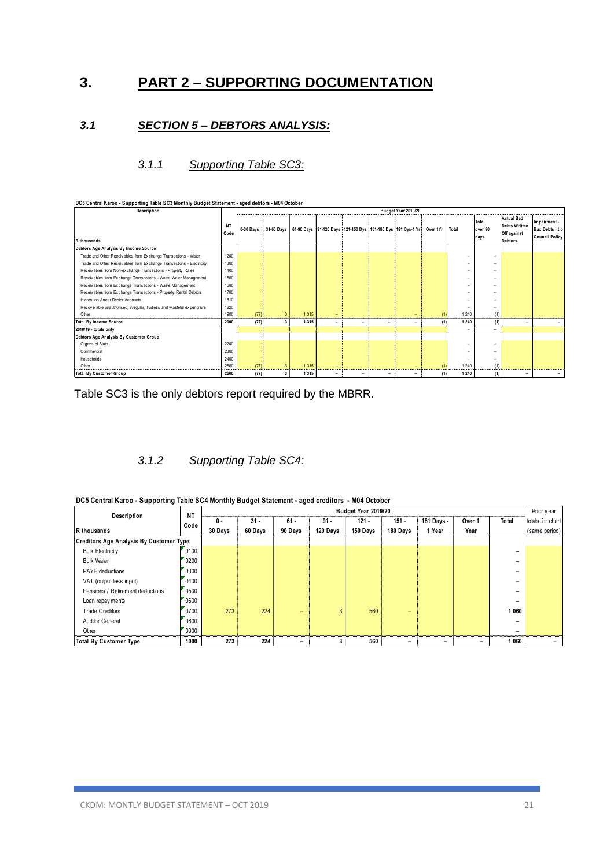## **3. PART 2 – SUPPORTING DOCUMENTATION**

### *3.1 SECTION 5 – DEBTORS ANALYSIS:*

### *3.1.1 Supporting Table SC3:*

| DC5 Central Karoo - Supporting Table SC3 Monthly Budget Statement - aged debtors - M04 October |                   |           |                |         |                          |   |                          |                                                                                  |                |                          |                          |                                                                            |                                                          |
|------------------------------------------------------------------------------------------------|-------------------|-----------|----------------|---------|--------------------------|---|--------------------------|----------------------------------------------------------------------------------|----------------|--------------------------|--------------------------|----------------------------------------------------------------------------|----------------------------------------------------------|
| Description                                                                                    |                   |           |                |         |                          |   |                          | Budget Year 2019/20                                                              |                |                          |                          |                                                                            |                                                          |
| R thousands                                                                                    | <b>NT</b><br>Code | 0-30 Days |                |         |                          |   |                          | 31-60 Days   61-90 Days   91-120 Days   121-150 Dys   151-180 Dys   181 Dys-1 Yr | Over 1Yr Total |                          | Total<br>over 90<br>days | <b>Actual Bad</b><br><b>Debts Written</b><br>Off against<br><b>Debtors</b> | Impairment -<br>Bad Debts i.t.o<br><b>Council Policy</b> |
| Debtors Age Analysis By Income Source                                                          |                   |           |                |         |                          |   |                          |                                                                                  |                |                          |                          |                                                                            |                                                          |
| Trade and Other Receivables from Exchange Transactions - Water                                 | 1200              |           |                |         |                          |   |                          |                                                                                  |                | $\overline{\phantom{a}}$ |                          |                                                                            |                                                          |
| Trade and Other Receivables from Exchange Transactions - Electricity                           | 1300              |           |                |         |                          |   |                          |                                                                                  |                | $\overline{\phantom{a}}$ |                          |                                                                            |                                                          |
| Receivables from Non-exchange Transactions - Property Rates                                    | 1400              |           |                |         |                          |   |                          |                                                                                  |                |                          |                          |                                                                            |                                                          |
| Receiv ables from Exchange Transactions - Waste Water Management                               | 1500              |           |                |         |                          |   |                          |                                                                                  |                |                          |                          |                                                                            |                                                          |
| Receiv ables from Exchange Transactions - Waste Management                                     | 1600              |           |                |         |                          |   |                          |                                                                                  |                |                          |                          |                                                                            |                                                          |
| Receiv ables from Exchange Transactions - Property Rental Debtors                              | 1700              |           |                |         |                          |   |                          |                                                                                  |                | $\overline{\phantom{a}}$ |                          |                                                                            |                                                          |
| Interest on Arrear Debtor Accounts                                                             | 1810              |           |                |         |                          |   |                          |                                                                                  |                |                          |                          |                                                                            |                                                          |
| Recoverable unauthorised, irregular, fruitless and wasteful expenditure                        | 1820              |           |                |         |                          |   |                          |                                                                                  |                |                          | $\overline{\phantom{a}}$ |                                                                            |                                                          |
| Other                                                                                          | 1900              | (77)      | 3              | 1 3 1 5 | $\overline{\phantom{0}}$ |   |                          | -                                                                                | (1)            | 1 240                    | (1)                      |                                                                            |                                                          |
| <b>Total By Income Source</b>                                                                  | 2000              | (77)      | 3              | 1 3 1 5 | -                        | ۰ | $\overline{\phantom{0}}$ | ٠                                                                                | (1)            | 1 2 4 0                  | (1)                      | $\overline{\phantom{0}}$                                                   | -                                                        |
| 2018/19 - totals only                                                                          |                   |           |                |         |                          |   |                          |                                                                                  |                | $\overline{\phantom{a}}$ | ۰                        |                                                                            |                                                          |
| Debtors Age Analysis By Customer Group                                                         |                   |           |                |         |                          |   |                          |                                                                                  |                |                          |                          |                                                                            |                                                          |
| Organs of State                                                                                | 2200              |           |                |         |                          |   |                          |                                                                                  |                | $\overline{\phantom{a}}$ |                          |                                                                            |                                                          |
| Commercial                                                                                     | 2300              |           |                |         |                          |   |                          |                                                                                  |                | $\overline{\phantom{a}}$ |                          |                                                                            |                                                          |
| Households                                                                                     | 2400              |           |                |         |                          |   |                          |                                                                                  |                | $\overline{\phantom{a}}$ | $\overline{\phantom{a}}$ |                                                                            |                                                          |
| Other                                                                                          | 2500              | (77)      | 3 <sup>1</sup> | 1 3 1 5 | $\overline{\phantom{0}}$ |   |                          | -                                                                                | (1)            | 1 240                    | (1)                      |                                                                            |                                                          |
| <b>Total By Customer Group</b>                                                                 | 2600              | (77)      | 3              | 1 3 1 5 | ٠                        | ٠ | ٠                        | -                                                                                | (1)            | 1 240                    | (1)                      | -                                                                          | -                                                        |

Table SC3 is the only debtors report required by the MBRR.

### *3.1.2 Supporting Table SC4:*

| DC5 Central Karoo - Supporting Table SC4 Monthly Budget Statement - aged creditors - M04 October |  |  |  |
|--------------------------------------------------------------------------------------------------|--|--|--|

| DC5 Central Karoo - Supporting Table SC4 Monthly Budget Statement - aged creditors - M04 October |           |         |         |                          |          | Budget Year 2019/20 |          |            |                          |                          | Prior year       |
|--------------------------------------------------------------------------------------------------|-----------|---------|---------|--------------------------|----------|---------------------|----------|------------|--------------------------|--------------------------|------------------|
| <b>Description</b>                                                                               | <b>NT</b> | 0 -     | $31 -$  | $61 -$                   | $91 -$   | $121 -$             | $151 -$  | 181 Days - | Over 1                   | Total                    | totals for chart |
| R thousands                                                                                      | Code      | 30 Days | 60 Days | 90 Days                  | 120 Days | 150 Days            | 180 Days | 1 Year     | Year                     |                          | (same period)    |
| <b>Creditors Age Analysis By Customer Type</b>                                                   |           |         |         |                          |          |                     |          |            |                          |                          |                  |
| <b>Bulk Electricity</b>                                                                          | 0100      |         |         |                          |          |                     |          |            |                          | $\overline{\phantom{0}}$ |                  |
| <b>Bulk Water</b>                                                                                | 0200      |         |         |                          |          |                     |          |            |                          | $\overline{\phantom{0}}$ |                  |
| <b>PAYE</b> deductions                                                                           | 0300      |         |         |                          |          |                     |          |            |                          | $\overline{\phantom{0}}$ |                  |
| VAT (output less input)                                                                          | 0400      |         |         |                          |          |                     |          |            |                          |                          |                  |
| Pensions / Retirement deductions                                                                 | 0500      |         |         |                          |          |                     |          |            |                          |                          |                  |
| Loan repay ments                                                                                 | 0600      |         |         |                          |          |                     |          |            |                          | $\overline{\phantom{0}}$ |                  |
| <b>Trade Creditors</b>                                                                           | 0700      | 273     | 224     | $\overline{\phantom{0}}$ | 3        | 560                 | -        |            |                          | 1 0 6 0                  |                  |
| <b>Auditor General</b>                                                                           | 0800      |         |         |                          |          |                     |          |            |                          | $\overline{\phantom{0}}$ |                  |
| Other                                                                                            | 0900      |         |         |                          |          |                     |          |            |                          |                          |                  |
| <b>Total By Customer Type</b>                                                                    | 1000      | 273     | 224     |                          | 3        | 560                 |          |            | $\overline{\phantom{0}}$ | 1 0 6 0                  |                  |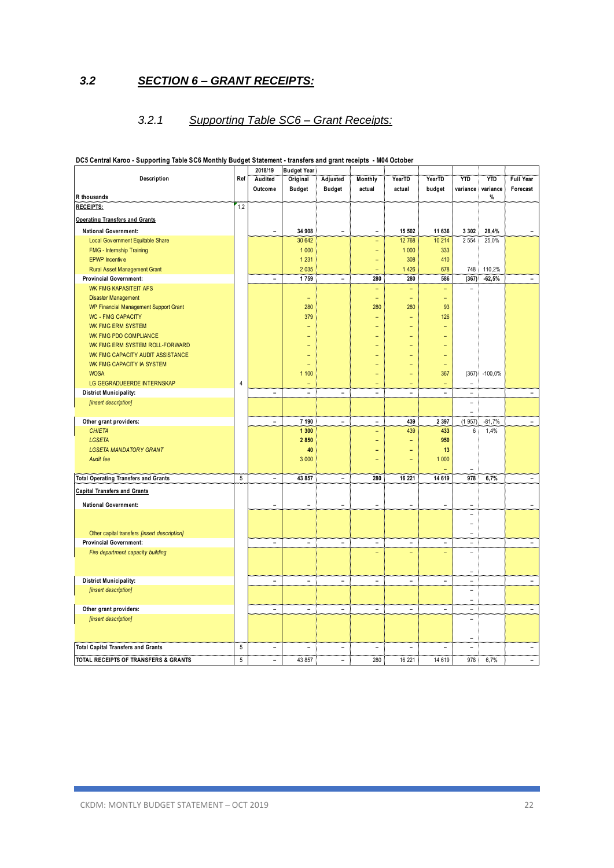### *3.2 SECTION 6 – GRANT RECEIPTS:*

### *3.2.1 Supporting Table SC6 – Grant Receipts:*

|                                              |     | 2018/19                  | <b>Budget Year</b>       |                |                   |                          |          |                          |                 |                  |
|----------------------------------------------|-----|--------------------------|--------------------------|----------------|-------------------|--------------------------|----------|--------------------------|-----------------|------------------|
| Description                                  | Ref | Audited                  | Original                 | Adjusted       | Monthly           | <b>YearTD</b>            | YearTD   | <b>YTD</b>               | <b>YTD</b>      | <b>Full Year</b> |
|                                              |     | Outcome                  | <b>Budget</b>            | <b>Budget</b>  | actual            | actual                   | budget   | variance                 | variance        | Forecast         |
| R thousands                                  |     |                          |                          |                |                   |                          |          |                          | %               |                  |
| <b>RECEIPTS:</b>                             | 1,2 |                          |                          |                |                   |                          |          |                          |                 |                  |
| <b>Operating Transfers and Grants</b>        |     |                          |                          |                |                   |                          |          |                          |                 |                  |
| <b>National Government:</b>                  |     | $\overline{\phantom{a}}$ | 34 908                   | $\blacksquare$ | $\blacksquare$    | 15 502                   | 11 636   | 3 3 0 2                  | 28,4%           |                  |
| Local Gov ernment Equitable Share            |     |                          | 30 642                   |                | ٠                 | 12 768                   | 10 214   | 2 5 5 4                  | 25,0%           |                  |
| FMG - Internship Training                    |     |                          | 1 0 0 0                  |                |                   | 1 0 0 0                  | 333      |                          |                 |                  |
| <b>EPWP</b> Incentive                        |     |                          | 1 2 3 1                  |                | Ξ                 | 308                      | 410      |                          |                 |                  |
| <b>Rural Asset Management Grant</b>          |     |                          | 2 0 3 5                  |                |                   | 1 4 2 6                  | 678      | 748                      | 110,2%          |                  |
| <b>Provincial Government:</b>                |     | $\overline{a}$           | 1759                     | $\blacksquare$ | 280               | 280                      | 586      | (367)                    | $-62,5%$        |                  |
| <b>WK FMG KAPASITEIT AFS</b>                 |     |                          |                          |                | $\qquad \qquad -$ | $\qquad \qquad -$        | ۳        | ÷                        |                 |                  |
| <b>Disaster Management</b>                   |     |                          | $\equiv$                 |                | ÷                 | $\qquad \qquad -$        | $\equiv$ |                          |                 |                  |
| WP Financial Management Support Grant        |     |                          | 280                      |                | 280               | 280                      | 93       |                          |                 |                  |
| <b>WC - FMG CAPACITY</b>                     |     |                          | 379                      |                |                   | ۳                        | 126      |                          |                 |                  |
| WK FMG ERM SYSTEM                            |     |                          |                          |                |                   | Ξ                        |          |                          |                 |                  |
| <b>WK FMG PDO COMPLIANCE</b>                 |     |                          |                          |                |                   |                          |          |                          |                 |                  |
| WK FMG ERM SYSTEM ROLL-FORWARD               |     |                          |                          |                |                   |                          |          |                          |                 |                  |
| WK FMG CAPACITY AUDIT ASSISTANCE             |     |                          |                          |                |                   |                          |          |                          |                 |                  |
| WK FMG CAPACITY IA SYSTEM                    |     |                          |                          |                |                   |                          |          |                          |                 |                  |
| <b>WOSA</b>                                  |     |                          | 1 100                    |                |                   |                          | 367      |                          | $(367)$ -100,0% |                  |
| LG GEGRADUEERDE INTERNSKAP                   | 4   |                          | ۳                        |                | ۳                 | $\overline{a}$           | ÷        | ÷,                       |                 |                  |
| <b>District Municipality:</b>                |     | $\overline{\phantom{a}}$ | $\overline{a}$           | $\overline{a}$ | $\overline{a}$    | $\equiv$                 | L.       | $\overline{a}$           |                 | $\equiv$         |
| [insert description]                         |     |                          |                          |                |                   |                          |          | $\bar{a}$                |                 |                  |
| Other grant providers:                       |     | $\blacksquare$           | 7 190                    | $\blacksquare$ | $\blacksquare$    | 439                      | 2 3 9 7  | (1957)                   | $-81,7%$        | $\equiv$         |
| <b>CHIETA</b>                                |     |                          | 1 300                    |                |                   | 439                      | 433      | 6                        | 1,4%            |                  |
| <b>LGSETA</b>                                |     |                          | 2 8 5 0                  |                |                   | ۳                        | 950      |                          |                 |                  |
| <b>LGSETA MANDATORY GRANT</b>                |     |                          | 40                       |                |                   |                          | 13       |                          |                 |                  |
| Audit fee                                    |     |                          | 3 0 0 0                  |                |                   |                          | 1 0 0 0  |                          |                 |                  |
|                                              |     |                          |                          |                |                   |                          |          |                          |                 |                  |
| <b>Total Operating Transfers and Grants</b>  | 5   | $\blacksquare$           | 43 857                   | $\frac{1}{2}$  | 280               | 16 221                   | 14 619   | 978                      | 6,7%            |                  |
| <b>Capital Transfers and Grants</b>          |     |                          |                          |                |                   |                          |          |                          |                 |                  |
| <b>National Government:</b>                  |     | L.                       |                          |                |                   | L.                       | L,       | $\overline{\phantom{0}}$ |                 |                  |
|                                              |     |                          |                          |                |                   |                          |          | ÷,                       |                 |                  |
|                                              |     |                          |                          |                |                   |                          |          | ۳                        |                 |                  |
| Other capital transfers [insert description] |     |                          |                          |                |                   |                          |          | L.                       |                 |                  |
| <b>Provincial Government:</b>                |     | $\blacksquare$           | ÷,                       | $\frac{1}{2}$  | $\qquad \qquad -$ | $\qquad \qquad -$        | -        | ÷,                       |                 |                  |
| Fire department capacity building            |     |                          |                          |                |                   | Ξ                        |          | L,                       |                 |                  |
|                                              |     |                          |                          |                |                   |                          |          | ۰                        |                 |                  |
| <b>District Municipality:</b>                |     | $\overline{\phantom{a}}$ | $\overline{\phantom{a}}$ | $\frac{1}{2}$  | $\qquad \qquad -$ | $\overline{\phantom{a}}$ | ÷,       | $\overline{\phantom{0}}$ |                 |                  |
| [insert description]                         |     |                          |                          |                |                   |                          |          | L.                       |                 |                  |
|                                              |     |                          |                          |                |                   |                          |          | ۰                        |                 |                  |
| Other grant providers:                       |     | $\overline{\phantom{0}}$ | $\blacksquare$           | $\blacksquare$ | $\blacksquare$    | $\overline{a}$           | -        | $\frac{1}{2}$            |                 |                  |
| [insert description]                         |     |                          |                          |                |                   |                          |          | ÷                        |                 |                  |
|                                              |     |                          |                          |                |                   |                          |          |                          |                 |                  |
|                                              |     | $\overline{\phantom{0}}$ |                          |                |                   |                          |          | ۰<br>÷,                  |                 |                  |
| <b>Total Capital Transfers and Grants</b>    | 5   |                          | ۰                        | $\frac{1}{2}$  | $\blacksquare$    | $\overline{a}$           | ۳        |                          |                 |                  |
| TOTAL RECEIPTS OF TRANSFERS & GRANTS         | 5   | L.                       | 43 857                   | -              | 280               | 16 221                   | 14 619   | 978                      | 6,7%            |                  |

### **DC5 Central Karoo - Supporting Table SC6 Monthly Budget Statement - transfers and grant receipts - M04 October**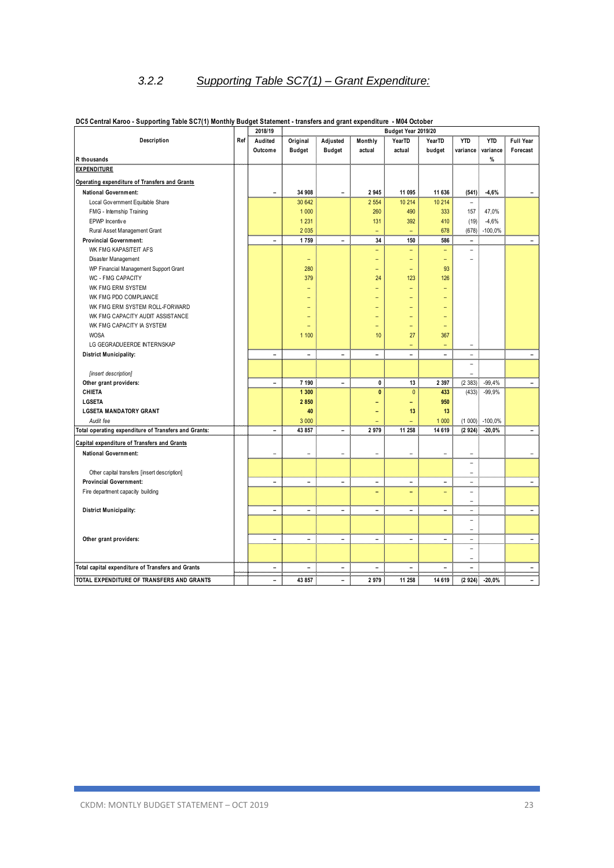# *3.2.2 Supporting Table SC7(1) – Grant Expenditure:*

|                                                      |     | 2018/19                  |                          |                          |                          | Budget Year 2019/20 |                          |                          |            |                          |
|------------------------------------------------------|-----|--------------------------|--------------------------|--------------------------|--------------------------|---------------------|--------------------------|--------------------------|------------|--------------------------|
| Description                                          | Ref | Audited                  | Original                 | Adjusted                 | Monthly                  | YearTD              | YearTD                   | <b>YTD</b>               | <b>YTD</b> | <b>Full Year</b>         |
|                                                      |     | Outcome                  | <b>Budget</b>            | <b>Budget</b>            | actual                   | actual              | budget                   | variance                 | variance   | Forecast                 |
| R thousands                                          |     |                          |                          |                          |                          |                     |                          |                          | $\%$       |                          |
| <b>EXPENDITURE</b>                                   |     |                          |                          |                          |                          |                     |                          |                          |            |                          |
| Operating expenditure of Transfers and Grants        |     |                          |                          |                          |                          |                     |                          |                          |            |                          |
| <b>National Government:</b>                          |     | $\overline{a}$           | 34 908                   | L                        | 2 9 4 5                  | 11 095              | 11 636                   | (541)                    | $-4,6%$    |                          |
| Local Gov ernment Equitable Share                    |     |                          | 30 642                   |                          | 2 5 5 4                  | 10 214              | 10 214                   | $\equiv$                 |            |                          |
| FMG - Internship Training                            |     |                          | 1 0 0 0                  |                          | 260                      | 490                 | 333                      | 157                      | 47,0%      |                          |
| EPWP Incentive                                       |     |                          | 1 2 3 1                  |                          | 131                      | 392                 | 410                      | (19)                     | $-4,6%$    |                          |
| Rural Asset Management Grant                         |     |                          | 2 0 3 5                  |                          | ÷                        | $\equiv$            | 678                      | (678)                    | $-100,0%$  |                          |
| <b>Provincial Government:</b>                        |     | $\overline{\phantom{0}}$ | 1759                     | $\blacksquare$           | 34                       | 150                 | 586                      | $\overline{\phantom{a}}$ |            | $\blacksquare$           |
| WK FMG KAPASITEIT AFS                                |     |                          |                          |                          | $\overline{a}$           | ÷                   | $\equiv$                 | $\equiv$                 |            |                          |
| Disaster Management                                  |     |                          | Ξ                        |                          | ۳                        | ۳                   | $\qquad \qquad -$        |                          |            |                          |
| WP Financial Management Support Grant                |     |                          | 280                      |                          | ۳                        | $\qquad \qquad -$   | 93                       |                          |            |                          |
| WC - FMG CAPACITY                                    |     |                          | 379                      |                          | 24                       | 123                 | 126                      |                          |            |                          |
| WK FMG ERM SYSTEM                                    |     |                          | -                        |                          | $\overline{a}$           | ۳                   |                          |                          |            |                          |
| WK FMG PDO COMPLIANCE                                |     |                          |                          |                          |                          |                     |                          |                          |            |                          |
| WK FMG ERM SYSTEM ROLL-FORWARD                       |     |                          |                          |                          | ۳                        |                     | $\overline{\phantom{0}}$ |                          |            |                          |
| WK FMG CAPACITY AUDIT ASSISTANCE                     |     |                          |                          |                          |                          |                     |                          |                          |            |                          |
| WK FMG CAPACITY IA SYSTEM                            |     |                          |                          |                          | Ξ                        | $\overline{a}$      | $\overline{\phantom{a}}$ |                          |            |                          |
| <b>WOSA</b>                                          |     |                          | 1 100                    |                          | 10                       | 27                  | 367                      |                          |            |                          |
| LG GEGRADUEERDE INTERNSKAP                           |     |                          |                          |                          |                          | $\overline{a}$      |                          | ÷                        |            |                          |
| <b>District Municipality:</b>                        |     | $\overline{\phantom{0}}$ | L.                       | $\overline{a}$           | $\overline{\phantom{0}}$ | ٠                   | $\equiv$                 | ÷.                       |            | $\blacksquare$           |
|                                                      |     |                          |                          |                          |                          |                     |                          | $\bar{ }$                |            |                          |
| [insert description]                                 |     |                          |                          |                          |                          |                     |                          |                          |            |                          |
| Other grant providers:                               |     | $\overline{a}$           | 7 190                    | $\blacksquare$           | $\mathbf 0$              | 13                  | 2 3 9 7                  | (2383)                   | $-99,4%$   | $\overline{\phantom{0}}$ |
| <b>CHIETA</b>                                        |     |                          | 1 300                    |                          | $\mathbf{0}$             | $\mathbf{0}$        | 433                      | (433)                    | $-99,9%$   |                          |
| <b>LGSETA</b>                                        |     |                          | 2 8 5 0                  |                          |                          | -                   | 950                      |                          |            |                          |
| <b>LGSETA MANDATORY GRANT</b>                        |     |                          | 40                       |                          |                          | 13                  | 13                       |                          |            |                          |
| Audit fee                                            |     |                          | 3 0 0 0                  |                          |                          |                     | 1 0 0 0                  | (1000)                   | $-100,0%$  |                          |
| Total operating expenditure of Transfers and Grants: |     | $\overline{\phantom{0}}$ | 43 857                   | $\overline{a}$           | 2 9 7 9                  | 11 258              | 14 619                   | (2924)                   | $-20,0%$   | $\blacksquare$           |
| Capital expenditure of Transfers and Grants          |     |                          |                          |                          |                          |                     |                          |                          |            |                          |
| <b>National Government:</b>                          |     | $\overline{\phantom{0}}$ | ۰                        | $\overline{\phantom{a}}$ | $\overline{\phantom{a}}$ | $\qquad \qquad -$   | $\overline{\phantom{a}}$ | $\overline{\phantom{a}}$ |            | $\overline{\phantom{a}}$ |
|                                                      |     |                          |                          |                          |                          |                     |                          | $\equiv$                 |            |                          |
| Other capital transfers [insert description]         |     |                          |                          |                          |                          |                     |                          | ÷                        |            |                          |
| <b>Provincial Government:</b>                        |     | $\overline{a}$           | L.                       | $\overline{a}$           | $\blacksquare$           | $\blacksquare$      | $\blacksquare$           | ۰                        |            | $\blacksquare$           |
| Fire department capacity building                    |     |                          |                          |                          |                          | $\equiv$            |                          | ۰                        |            |                          |
|                                                      |     |                          |                          |                          |                          |                     |                          | $\overline{\phantom{0}}$ |            |                          |
| <b>District Municipality:</b>                        |     | $\overline{\phantom{0}}$ | ۳                        | L                        | $\overline{\phantom{0}}$ | $\blacksquare$      |                          | $\overline{\phantom{0}}$ |            | $\frac{1}{2}$            |
|                                                      |     |                          |                          |                          |                          |                     |                          | ÷.                       |            |                          |
|                                                      |     |                          |                          |                          |                          |                     |                          | $\overline{\phantom{a}}$ |            |                          |
| Other grant providers:                               |     | $\blacksquare$           | ۳                        | $\blacksquare$           | $\overline{a}$           | $\blacksquare$      | $\sim$                   | ٠                        |            | $\equiv$                 |
|                                                      |     |                          |                          |                          |                          |                     |                          | $\overline{\phantom{a}}$ |            |                          |
|                                                      |     |                          |                          |                          |                          |                     |                          | ۰                        |            |                          |
| Total capital expenditure of Transfers and Grants    |     | $\blacksquare$           | $\overline{\phantom{0}}$ | $\blacksquare$<br>.      | $\overline{\phantom{0}}$ | ۰                   |                          | ۰                        |            | $\overline{\phantom{a}}$ |
| TOTAL EXPENDITURE OF TRANSFERS AND GRANTS            |     | $\overline{a}$           | 43 857                   | -                        | 2979                     | 11 258              | 14 619                   | (2924)                   | $-20,0%$   |                          |

### **DC5 Central Karoo - Supporting Table SC7(1) Monthly Budget Statement - transfers and grant expenditure - M04 October**